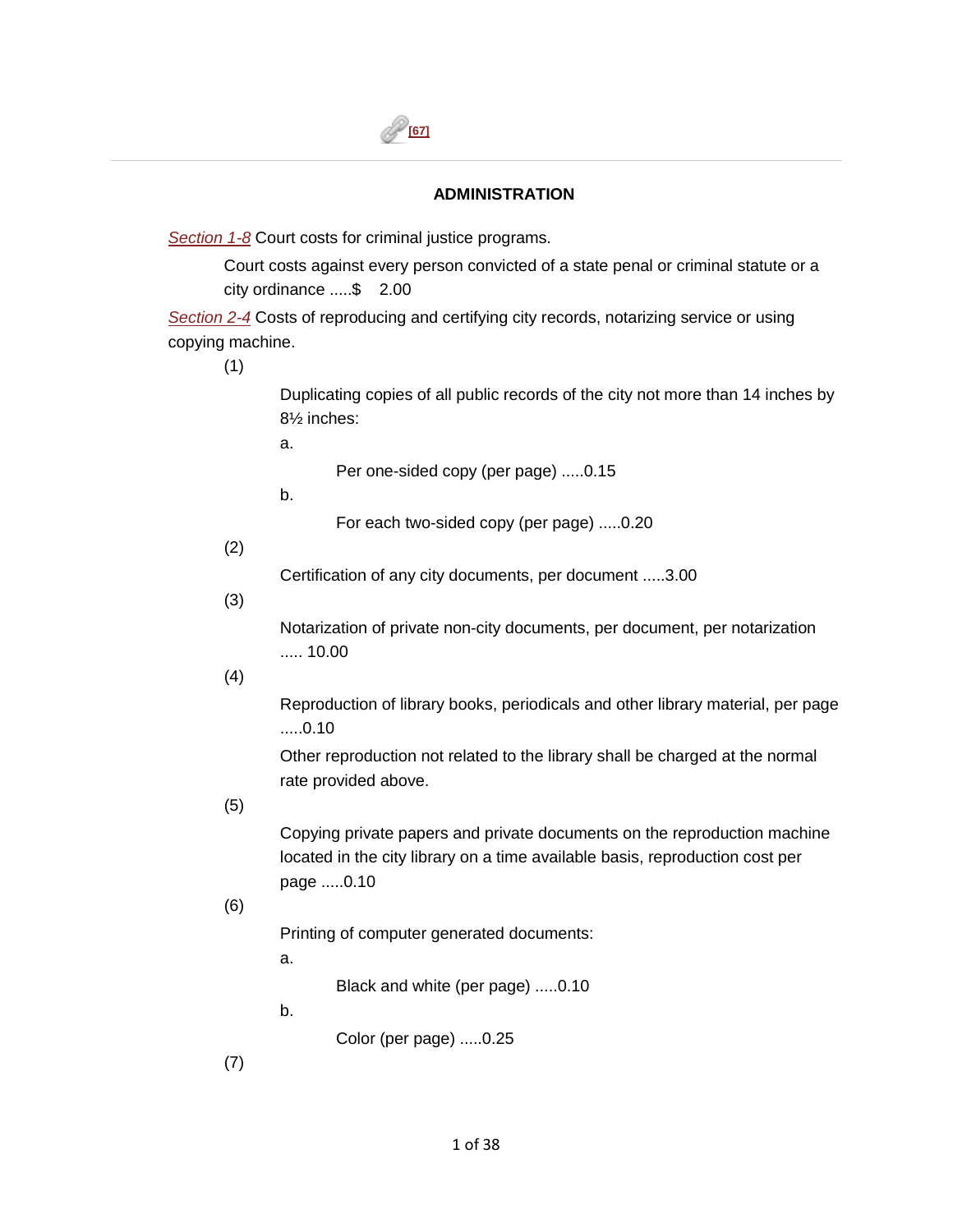## **ADMINISTRATION**

*[Section 1-8](https://library.municode.com/HTML/11166/level2/PTIICICO_CH1GEPR.html#PTIICICO_CH1GEPR_S1-8COCOCRJUPR)* Court costs for criminal justice programs.

 city ordinance .....\$ 2.00 Court costs against every person convicted of a state penal or criminal statute or a

*[Section 2-4](https://library.municode.com/HTML/11166/level3/PTIICICO_CH2AD_ARTIINGE.html#PTIICICO_CH2AD_ARTIINGE_S2-4CORECERENOSEUSCOMA)* Costs of reproducing and certifying city records, notarizing service or using copying machine.

(1)

Duplicating copies of all public records of the city not more than 14 inches by 8½ inches:

a.

Per one-sided copy (per page) .....0.15

b.

For each two-sided copy (per page) .....0.20

(2)

Certification of any city documents, per document .....3.00

(3)

 ..... 10.00 Notarization of private non-city documents, per document, per notarization

(4)

Reproduction of library books, periodicals and other library material, per page .....0.10

Other reproduction not related to the library shall be charged at the normal rate provided above.

(5)

Copying private papers and private documents on the reproduction machine located in the city library on a time available basis, reproduction cost per page .....0.10

(6)

Printing of computer generated documents:

a.

Black and white (per page) .....0.10

b.

Color (per page) .....0.25

(7)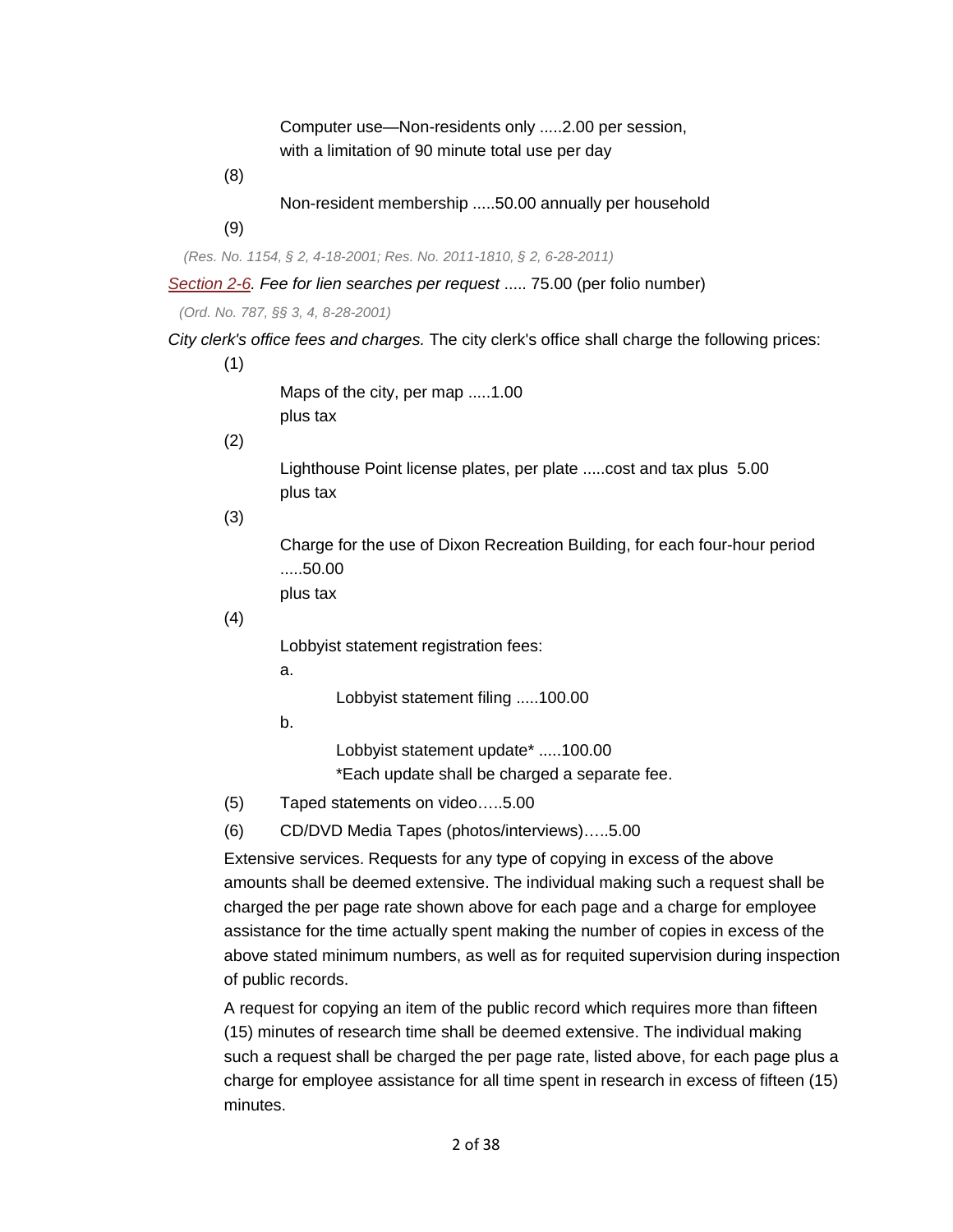Computer use—Non-residents only .....2.00 per session, with a limitation of 90 minute total use per day

(8)

Non-resident membership .....50.00 annually per household

(9)

*(Res. No. 1154, § 2, 4-18-2001; Res. No. 2011-1810, § 2, 6-28-2011)* 

*[Section 2-6.](https://library.municode.com/HTML/11166/level3/PTIICICO_CH2AD_ARTIINGE.html#PTIICICO_CH2AD_ARTIINGE_S2-6COLISE) Fee for lien searches per request* ..... 75.00 (per folio number)

*(Ord. No. 787, §§ 3, 4, 8-28-2001)* 

*City clerk's office fees and charges.* The city clerk's office shall charge the following prices:

(1)

Maps of the city, per map .....1.00 plus tax

(2)

 Lighthouse Point license plates, per plate .....cost and tax plus 5.00 plus tax

(3)

Charge for the use of Dixon Recreation Building, for each four-hour period .....50.00

plus tax

(4)

Lobbyist statement registration fees:

a.

Lobbyist statement filing .....100.00

b.

Lobbyist statement update\* .....100.00 \*Each update shall be charged a separate fee.

- (5) Taped statements on video…..5.00
- (6) CD/DVD Media Tapes (photos/interviews)…..5.00

Extensive services. Requests for any type of copying in excess of the above amounts shall be deemed extensive. The individual making such a request shall be charged the per page rate shown above for each page and a charge for employee assistance for the time actually spent making the number of copies in excess of the above stated minimum numbers, as well as for requited supervision during inspection of public records.

 charge for employee assistance for all time spent in research in excess of fifteen (15) minutes. A request for copying an item of the public record which requires more than fifteen (15) minutes of research time shall be deemed extensive. The individual making such a request shall be charged the per page rate, listed above, for each page plus a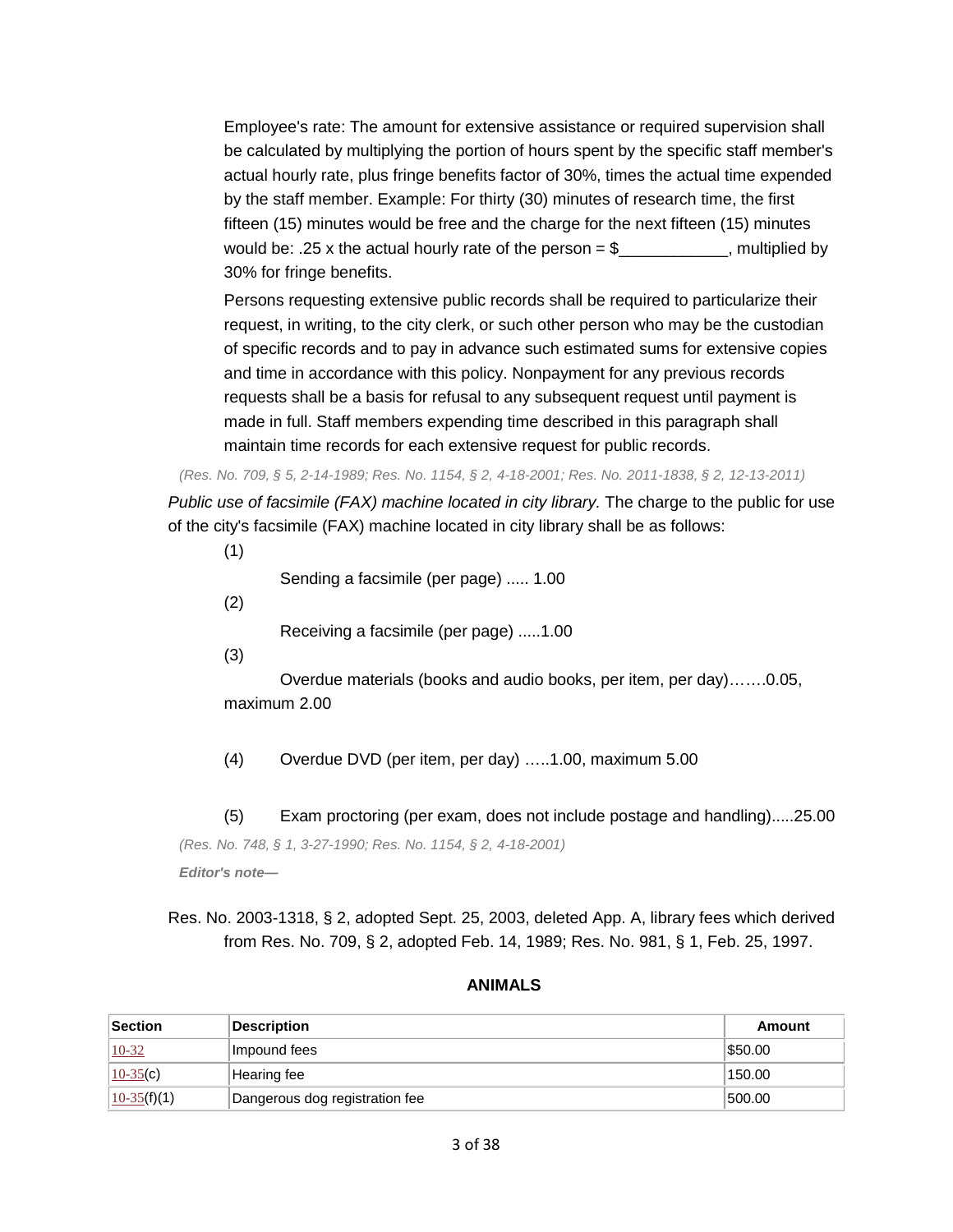Employee's rate: The amount for extensive assistance or required supervision shall be calculated by multiplying the portion of hours spent by the specific staff member's actual hourly rate, plus fringe benefits factor of 30%, times the actual time expended by the staff member. Example: For thirty (30) minutes of research time, the first fifteen (15) minutes would be free and the charge for the next fifteen (15) minutes would be: .25 x the actual hourly rate of the person  $= $$  \_\_\_\_\_\_\_\_\_\_\_\_, multiplied by 30% for fringe benefits.

Persons requesting extensive public records shall be required to particularize their request, in writing, to the city clerk, or such other person who may be the custodian of specific records and to pay in advance such estimated sums for extensive copies and time in accordance with this policy. Nonpayment for any previous records requests shall be a basis for refusal to any subsequent request until payment is made in full. Staff members expending time described in this paragraph shall maintain time records for each extensive request for public records.

*(Res. No. 709, § 5, 2-14-1989; Res. No. 1154, § 2, 4-18-2001; Res. No. 2011-1838, § 2, 12-13-2011) Public use of facsimile (FAX) machine located in city library.* The charge to the public for use of the city's facsimile (FAX) machine located in city library shall be as follows:

(1)

Sending a facsimile (per page) ..... 1.00

(2)

Receiving a facsimile (per page) .....1.00

 $(3)$ 

(3) Overdue materials (books and audio books, per item, per day)…….0.05, maximum 2.00

(4) Overdue DVD (per item, per day) …..1.00, maximum 5.00

(5) Exam proctoring (per exam, does not include postage and handling).....25.00 *(Res. No. 748, § 1, 3-27-1990; Res. No. 1154, § 2, 4-18-2001) Editor's note—* 

 Res. No. 2003-1318, § 2, adopted Sept. 25, 2003, deleted App. A, library fees which derived from Res. No. 709, § 2, adopted Feb. 14, 1989; Res. No. 981, § 1, Feb. 25, 1997.

#### **ANIMALS**

|                | <b>ANIMALS</b>                 |               |
|----------------|--------------------------------|---------------|
| <b>Section</b> | <b>Description</b>             | <b>Amount</b> |
| $10-32$        | Impound fees                   | \$50.00       |
| $10-35(c)$     | Hearing fee                    | 150.00        |
| $10-35(f)(1)$  | Dangerous dog registration fee | 500.00        |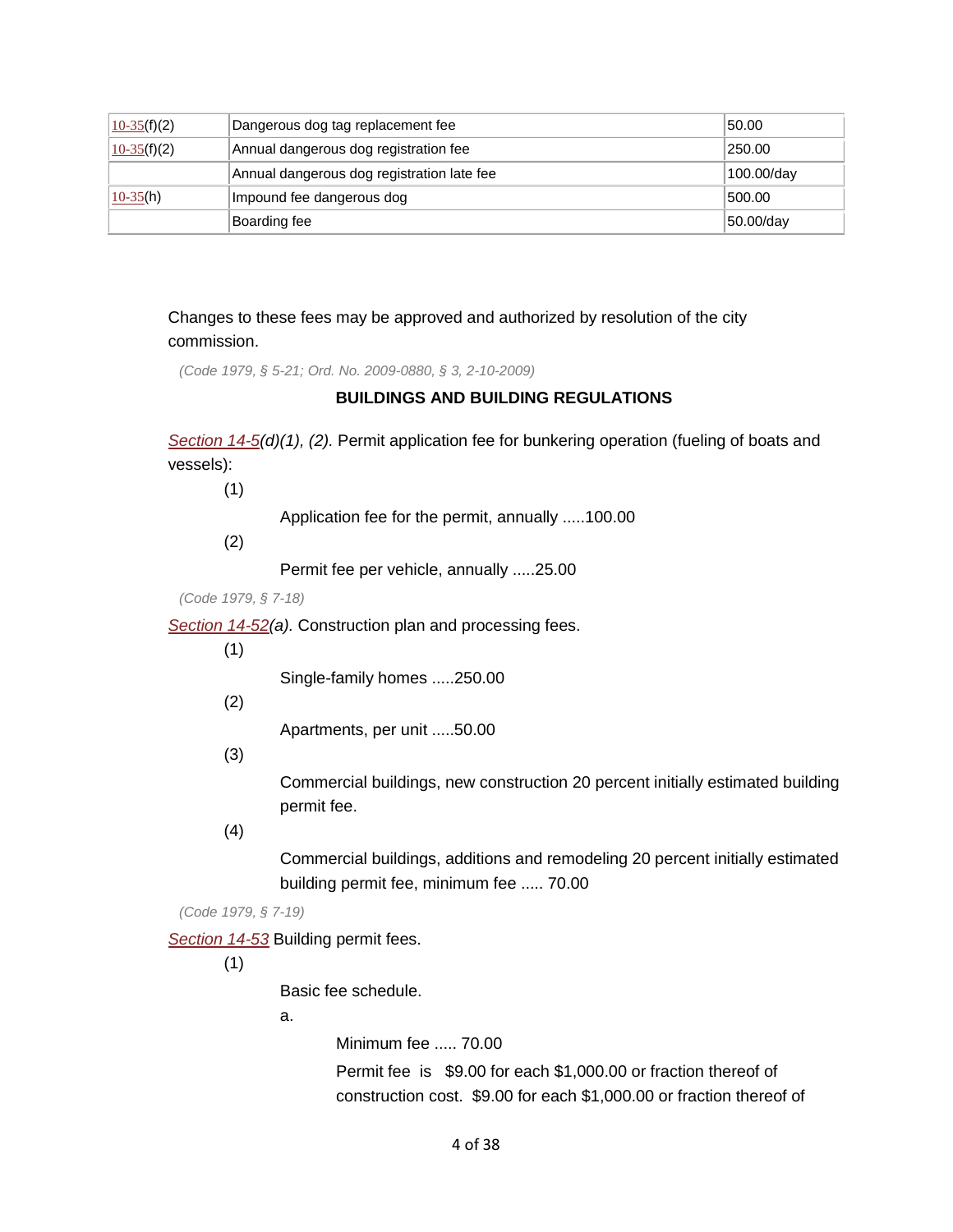| $10-35(f)(2)$ | Dangerous dog tag replacement fee          | 50.00      |
|---------------|--------------------------------------------|------------|
| $10-35(f)(2)$ | Annual dangerous dog registration fee      | 250.00     |
|               | Annual dangerous dog registration late fee | 100.00/day |
| $10-35(h)$    | Impound fee dangerous dog                  | 500.00     |
|               | Boarding fee                               | 50.00/day  |

 commission. Changes to these fees may be approved and authorized by resolution of the city

*(Code 1979, § 5-21; Ord. No. 2009-0880, § 3, 2-10-2009)* 

## **BUILDINGS AND BUILDING REGULATIONS**

 vessels): (1) *[Section 14-5\(](https://library.municode.com/HTML/11166/level3/PTIICICO_CH14BUBURE_ARTIINGE.html#PTIICICO_CH14BUBURE_ARTIINGE_S14-5STLPGANO2FUOIDIFU)d)(1), (2).* Permit application fee for bunkering operation (fueling of boats and

Application fee for the permit, annually .....100.00

(2)

Permit fee per vehicle, annually .....25.00

*(Code 1979, § 7-18)* 

*[Section 14-52\(](https://library.municode.com/HTML/11166/level4/PTIICICO_CH14BUBURE_ARTIIBUCO_DIV2PECE.html#PTIICICO_CH14BUBURE_ARTIIBUCO_DIV2PECE_S14-52COPLPRFE)a).* Construction plan and processing fees.

(1)

Single-family homes .....250.00

(2)

Apartments, per unit .....50.00

(3)

Commercial buildings, new construction 20 percent initially estimated building permit fee.

(4)

 building permit fee, minimum fee ..... 70.00 Commercial buildings, additions and remodeling 20 percent initially estimated

*(Code 1979, § 7-19)* 

*[Section 14-53](https://library.municode.com/HTML/11166/level4/PTIICICO_CH14BUBURE_ARTIIBUCO_DIV2PECE.html#PTIICICO_CH14BUBURE_ARTIIBUCO_DIV2PECE_S14-53BUPEFE)* Building permit fees.

(1)

Basic fee schedule.

a.

Minimum fee ..... 70.00

 Permit fee is \$9.00 for each \$1,000.00 or fraction thereof of construction cost. \$9.00 for each \$1,000.00 or fraction thereof of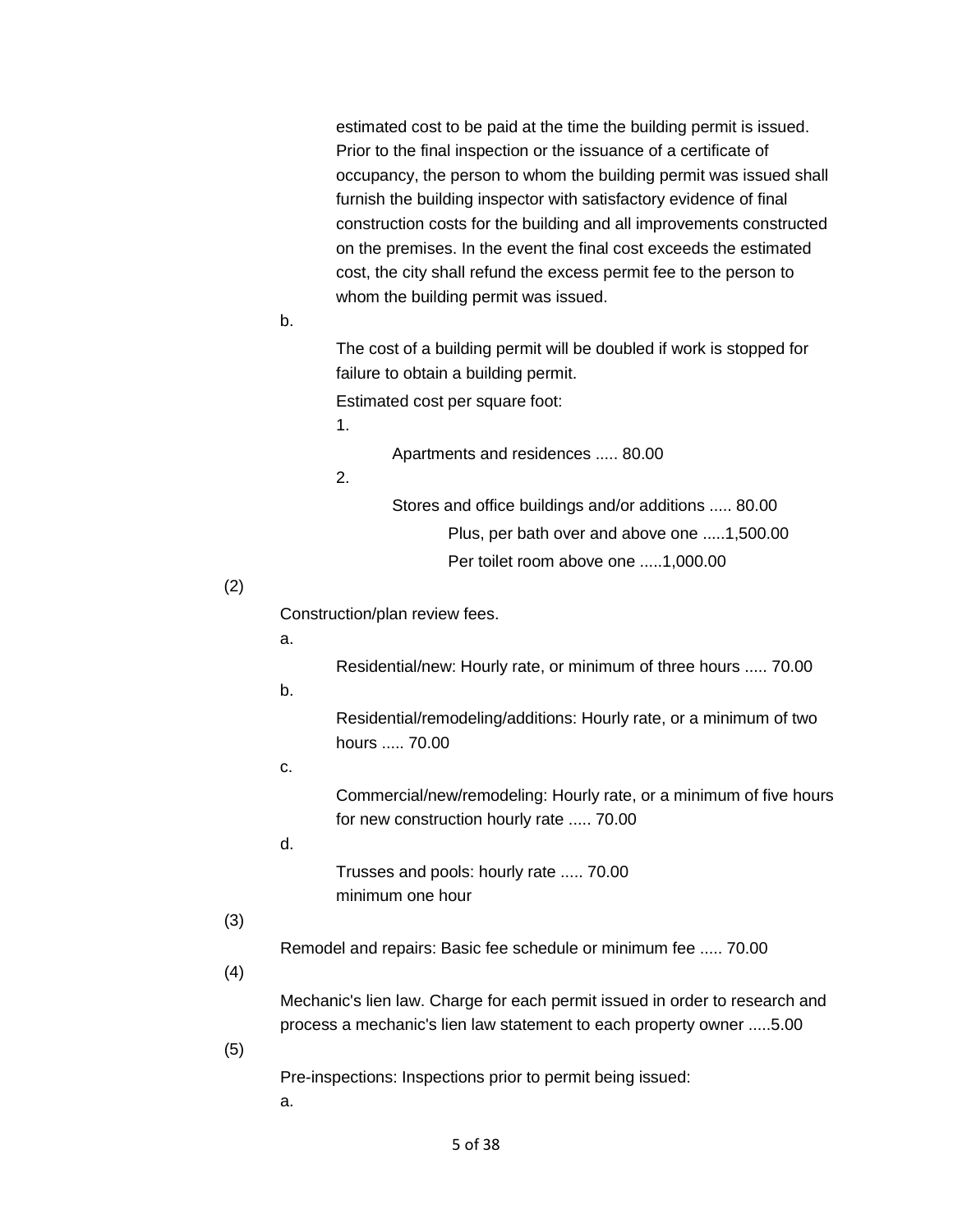estimated cost to be paid at the time the building permit is issued. Prior to the final inspection or the issuance of a certificate of occupancy, the person to whom the building permit was issued shall furnish the building inspector with satisfactory evidence of final construction costs for the building and all improvements constructed on the premises. In the event the final cost exceeds the estimated cost, the city shall refund the excess permit fee to the person to whom the building permit was issued.

b.

The cost of a building permit will be doubled if work is stopped for failure to obtain a building permit.

Estimated cost per square foot:

1.

Apartments and residences ..... 80.00

2.

 Stores and office buildings and/or additions ..... 80.00 Plus, per bath over and above one .....1,500.00 Per toilet room above one .....1,000.00

#### (2)

Construction/plan review fees.

Residential/new: Hourly rate, or minimum of three hours ..... 70.00

b.

a.

 hours ..... 70.00 Residential/remodeling/additions: Hourly rate, or a minimum of two

c.

 Commercial/new/remodeling: Hourly rate, or a minimum of five hours for new construction hourly rate ..... 70.00

d.

 Trusses and pools: hourly rate ..... 70.00 minimum one hour

### (3)

Remodel and repairs: Basic fee schedule or minimum fee ..... 70.00

# (4)

Mechanic's lien law. Charge for each permit issued in order to research and process a mechanic's lien law statement to each property owner .....5.00

(5)

Pre-inspections: Inspections prior to permit being issued:

a.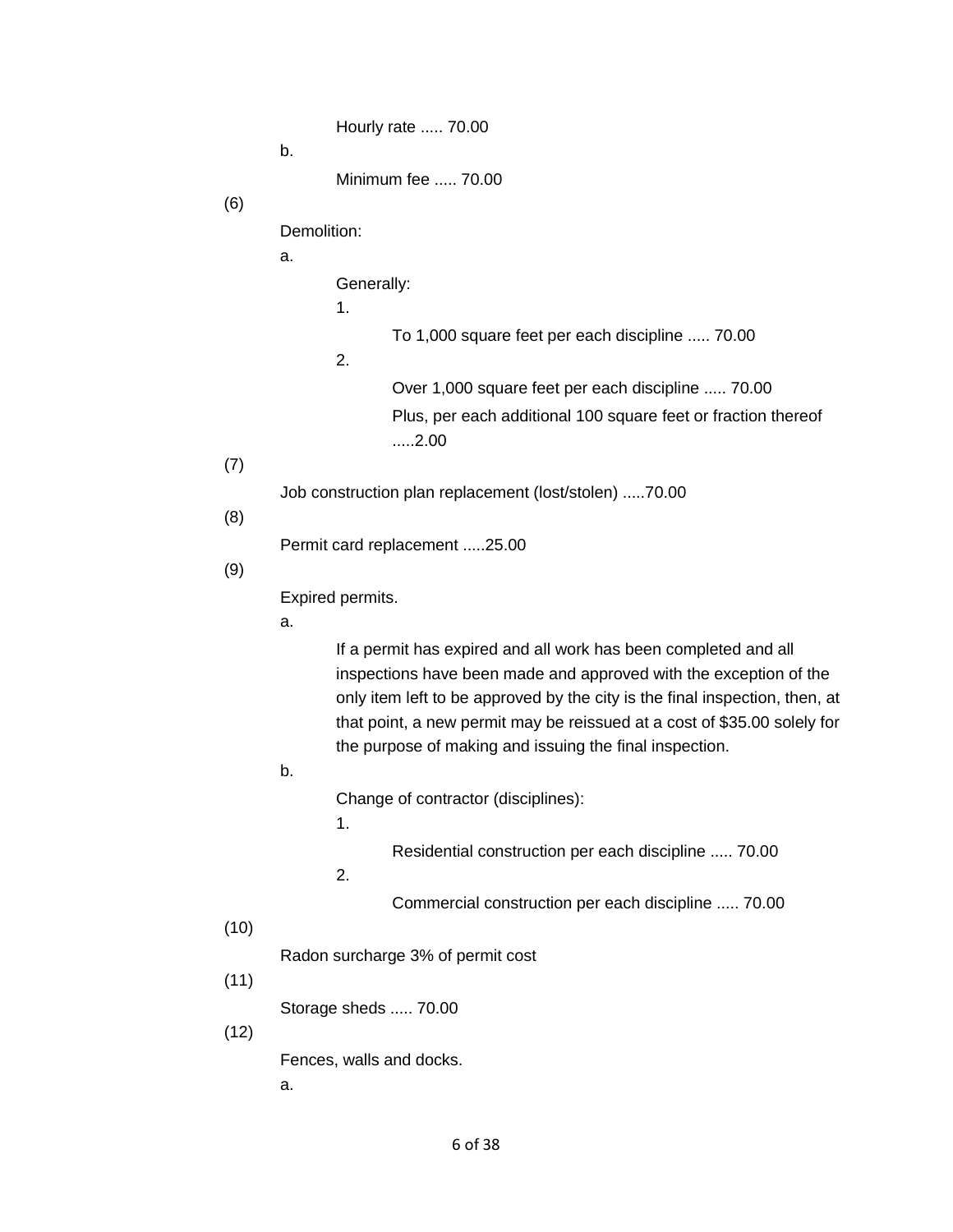Hourly rate ..... 70.00

b.

Minimum fee ..... 70.00

(6)

Demolition:

a.

Generally:

1.

To 1,000 square feet per each discipline ..... 70.00

2.

 Over 1,000 square feet per each discipline ..... 70.00 Plus, per each additional 100 square feet or fraction thereof .....2.00

(7)

Job construction plan replacement (lost/stolen) .....70.00

(8)

Permit card replacement .....25.00

(9)

Expired permits.

a.

If a permit has expired and all work has been completed and all inspections have been made and approved with the exception of the only item left to be approved by the city is the final inspection, then, at that point, a new permit may be reissued at a cost of \$35.00 solely for the purpose of making and issuing the final inspection.

b.

Change of contractor (disciplines):

1.

Residential construction per each discipline ..... 70.00

2.

Commercial construction per each discipline ..... 70.00

#### (10)

Radon surcharge 3% of permit cost (11)

Storage sheds ..... 70.00

(12)

Fences, walls and docks.

a.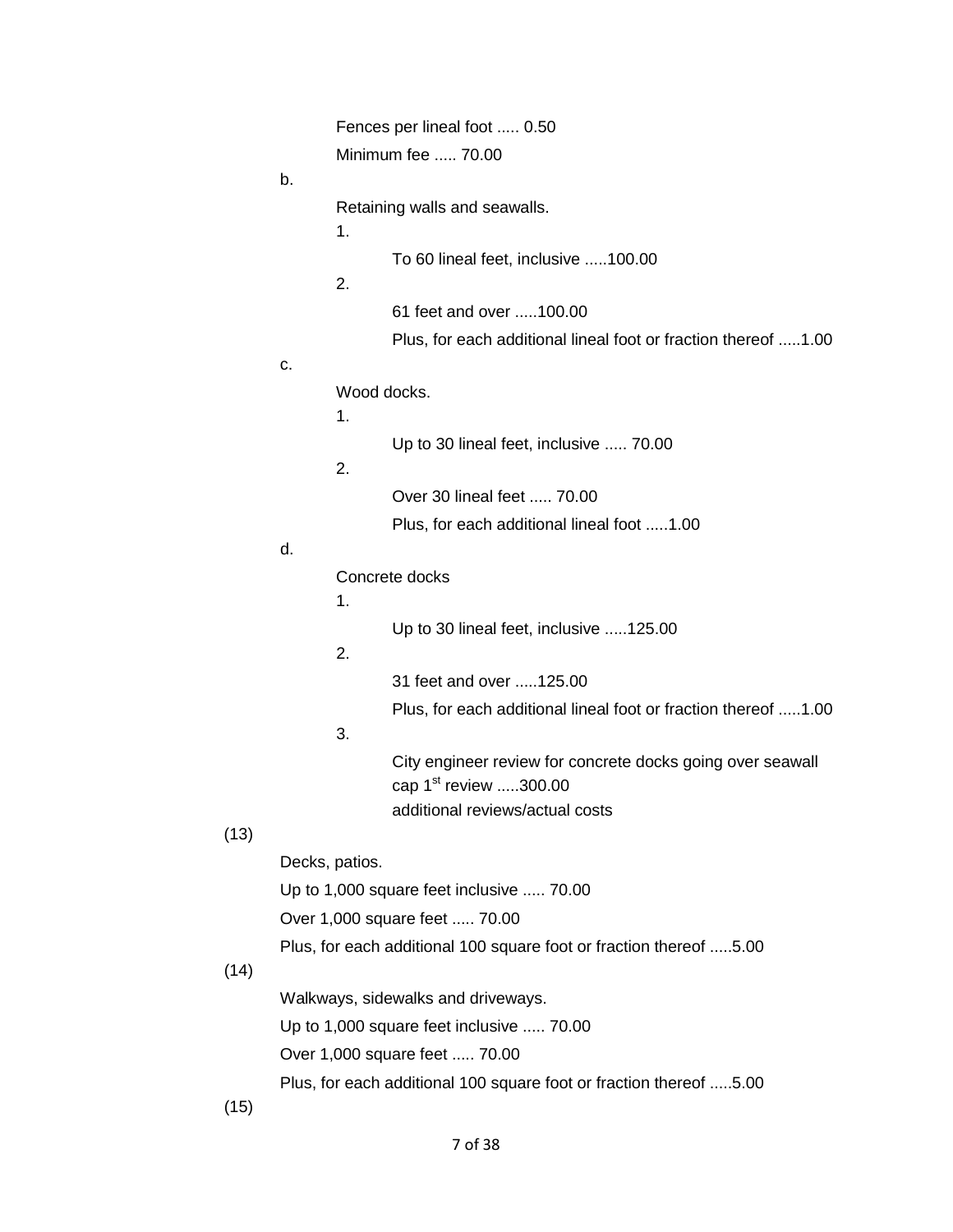|                                                                    | Fences per lineal foot  0.50 |                                                                                                                             |
|--------------------------------------------------------------------|------------------------------|-----------------------------------------------------------------------------------------------------------------------------|
|                                                                    | Minimum fee  70.00           |                                                                                                                             |
| b.                                                                 |                              |                                                                                                                             |
|                                                                    | 1.                           | Retaining walls and seawalls.                                                                                               |
|                                                                    | 2.                           | To 60 lineal feet, inclusive 100.00                                                                                         |
|                                                                    |                              | 61 feet and over 100.00                                                                                                     |
|                                                                    |                              | Plus, for each additional lineal foot or fraction thereof 1.00                                                              |
| С.                                                                 |                              |                                                                                                                             |
|                                                                    | Wood docks.                  |                                                                                                                             |
|                                                                    | 1.                           |                                                                                                                             |
|                                                                    | 2.                           | Up to 30 lineal feet, inclusive  70.00                                                                                      |
|                                                                    |                              | Over 30 lineal feet  70.00                                                                                                  |
|                                                                    |                              | Plus, for each additional lineal foot 1.00                                                                                  |
| d.                                                                 |                              |                                                                                                                             |
|                                                                    |                              | Concrete docks                                                                                                              |
|                                                                    | 1.                           |                                                                                                                             |
|                                                                    | 2.                           | Up to 30 lineal feet, inclusive 125.00                                                                                      |
|                                                                    |                              | 31 feet and over 125.00                                                                                                     |
|                                                                    |                              | Plus, for each additional lineal foot or fraction thereof 1.00                                                              |
|                                                                    | 3.                           |                                                                                                                             |
|                                                                    |                              | City engineer review for concrete docks going over seawall<br>cap $1^{st}$ review 300.00<br>additional reviews/actual costs |
|                                                                    |                              |                                                                                                                             |
|                                                                    | Decks, patios.               |                                                                                                                             |
| Up to 1,000 square feet inclusive  70.00                           |                              |                                                                                                                             |
| Over 1,000 square feet  70.00                                      |                              |                                                                                                                             |
| Plus, for each additional 100 square foot or fraction thereof 5.00 |                              |                                                                                                                             |
| Walkways, sidewalks and driveways.                                 |                              |                                                                                                                             |
| Up to 1,000 square feet inclusive  70.00                           |                              |                                                                                                                             |
| Over 1,000 square feet  70.00                                      |                              |                                                                                                                             |
| Plus, for each additional 100 square foot or fraction thereof 5.00 |                              |                                                                                                                             |

(15)

(13)

 $(14)$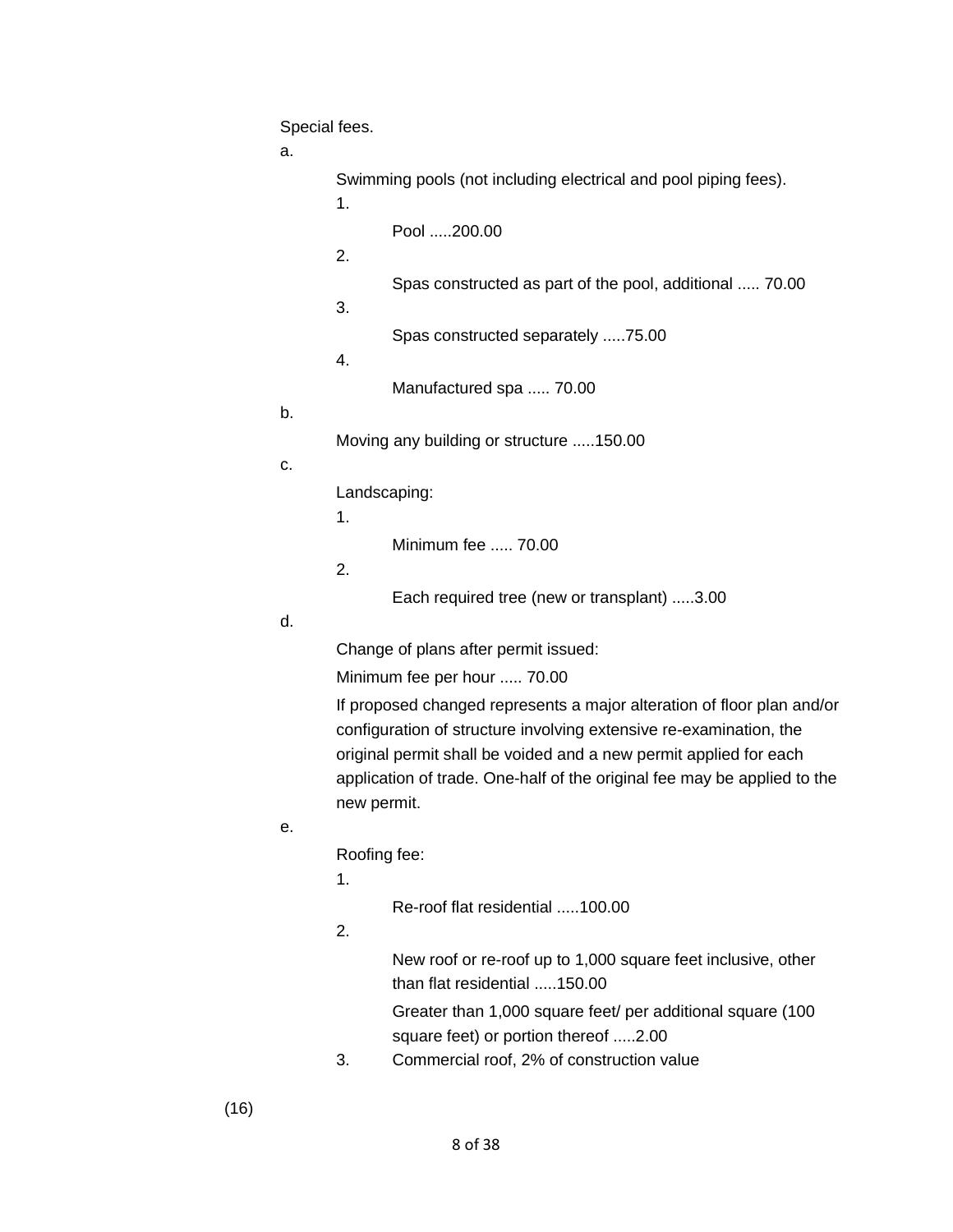Special fees.

a.

Swimming pools (not including electrical and pool piping fees).

1.

Pool .....200.00

2.

Spas constructed as part of the pool, additional ..... 70.00

3.

Spas constructed separately .....75.00

4.

Manufactured spa ..... 70.00

b.

Moving any building or structure .....150.00

c.

Landscaping:

1.

Minimum fee ..... 70.00

2.

Each required tree (new or transplant) .....3.00

d.

Change of plans after permit issued:

Minimum fee per hour ..... 70.00

If proposed changed represents a major alteration of floor plan and/or configuration of structure involving extensive re-examination, the original permit shall be voided and a new permit applied for each application of trade. One-half of the original fee may be applied to the new permit.

e.

Roofing fee:

1.

Re-roof flat residential .....100.00

# 2.

 than flat residential .....150.00 New roof or re-roof up to 1,000 square feet inclusive, other

Greater than 1,000 square feet/ per additional square (100 square feet) or portion thereof .....2.00

3. Commercial roof, 2% of construction value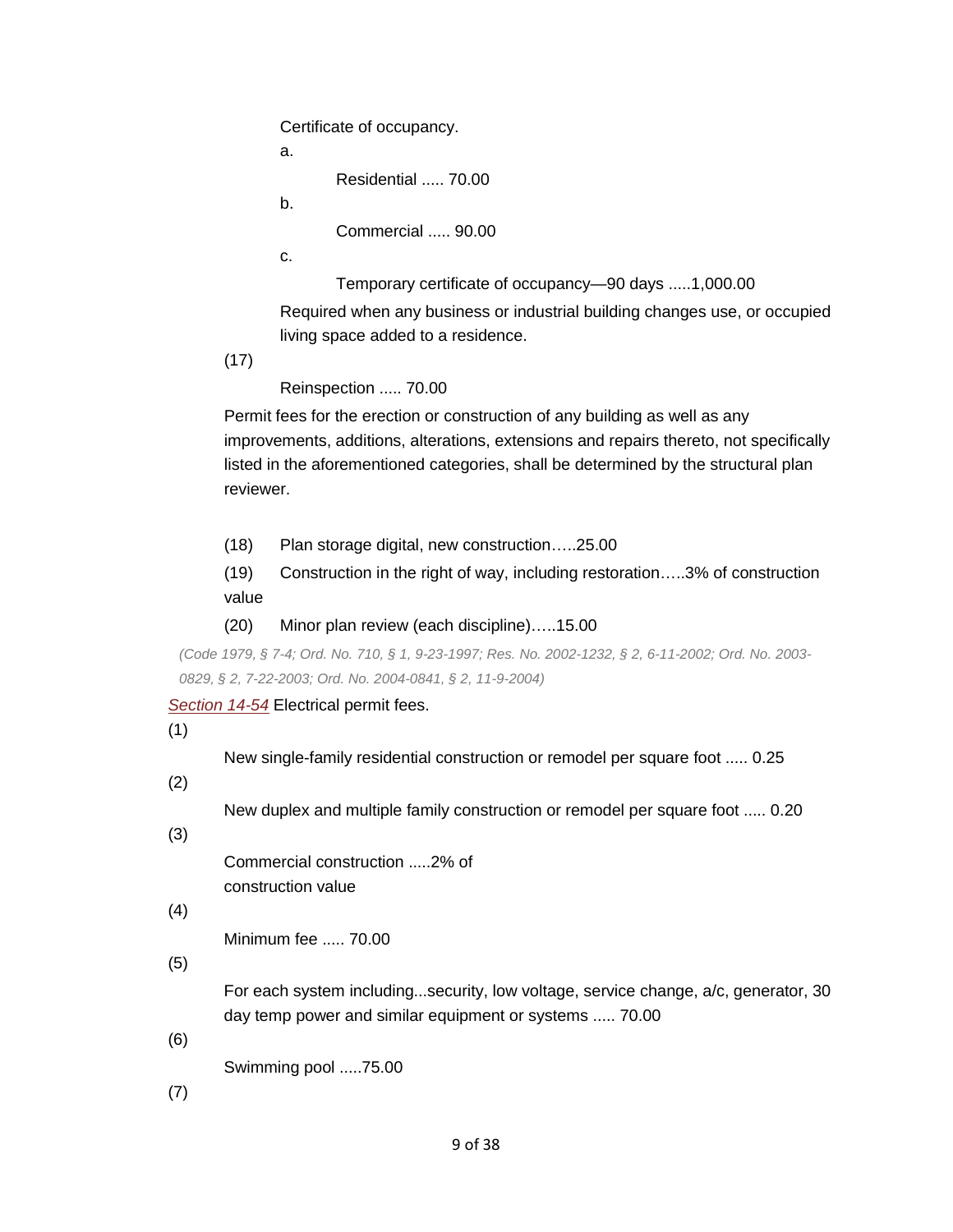Certificate of occupancy.

a.

Residential ..... 70.00

b.

Commercial ..... 90.00

c.

Temporary certificate of occupancy—90 days .....1,000.00

Required when any business or industrial building changes use, or occupied living space added to a residence.

(17)

Reinspection ..... 70.00

 Permit fees for the erection or construction of any building as well as any improvements, additions, alterations, extensions and repairs thereto, not specifically listed in the aforementioned categories, shall be determined by the structural plan reviewer.

- (18) Plan storage digital, new construction…..25.00
- value (19) Construction in the right of way, including restoration…..3% of construction
- (20) Minor plan review (each discipline)…..15.00

*(Code 1979, § 7-4; Ord. No. 710, § 1, 9-23-1997; Res. No. 2002-1232, § 2, 6-11-2002; Ord. No. 2003- 0829, § 2, 7-22-2003; Ord. No. 2004-0841, § 2, 11-9-2004)* 

*[Section 14-54](https://library.municode.com/HTML/11166/level4/PTIICICO_CH14BUBURE_ARTIIBUCO_DIV2PECE.html#PTIICICO_CH14BUBURE_ARTIIBUCO_DIV2PECE_S14-54ELPEFE)* Electrical permit fees.

(1)

New single-family residential construction or remodel per square foot ..... 0.25

(2)

New duplex and multiple family construction or remodel per square foot ..... 0.20

(3)

Commercial construction .....2% of construction value

(4)

Minimum fee ..... 70.00

(5)

 day temp power and similar equipment or systems ..... 70.00 For each system including...security, low voltage, service change, a/c, generator, 30

(6)

Swimming pool .....75.00

(7)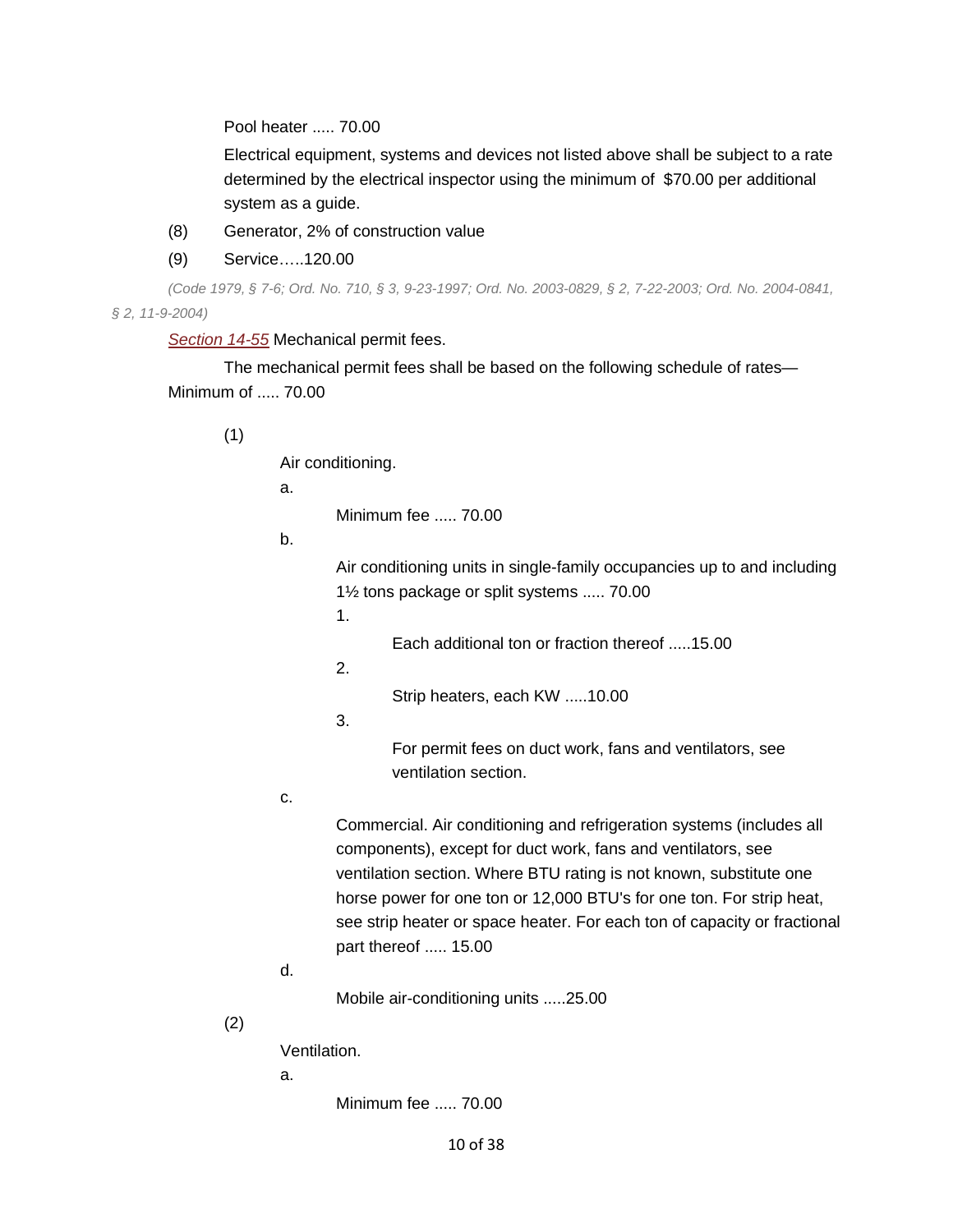Pool heater ..... 70.00

 determined by the electrical inspector using the minimum of \$70.00 per additional Electrical equipment, systems and devices not listed above shall be subject to a rate system as a guide.

- (8) Generator, 2% of construction value
- (9) Service…..120.00

*(Code 1979, § 7-6; Ord. No. 710, § 3, 9-23-1997; Ord. No. 2003-0829, § 2, 7-22-2003; Ord. No. 2004-0841, § 2, 11-9-2004)* 

*[Section 14-55](https://library.municode.com/HTML/11166/level4/PTIICICO_CH14BUBURE_ARTIIBUCO_DIV2PECE.html#PTIICICO_CH14BUBURE_ARTIIBUCO_DIV2PECE_S14-55MEPEFE)* Mechanical permit fees.

 Minimum of ..... 70.00 The mechanical permit fees shall be based on the following schedule of rates—

(1)

Air conditioning.

a.

Minimum fee ..... 70.00

b.

 1½ tons package or split systems ..... 70.00 Air conditioning units in single-family occupancies up to and including

1.

Each additional ton or fraction thereof .....15.00

2.

Strip heaters, each KW .....10.00

3.

For permit fees on duct work, fans and ventilators, see ventilation section.

c.

 part thereof ..... 15.00 Commercial. Air conditioning and refrigeration systems (includes all components), except for duct work, fans and ventilators, see ventilation section. Where BTU rating is not known, substitute one horse power for one ton or 12,000 BTU's for one ton. For strip heat, see strip heater or space heater. For each ton of capacity or fractional

d.

Mobile air-conditioning units .....25.00

(2)

Ventilation.

a.

Minimum fee ..... 70.00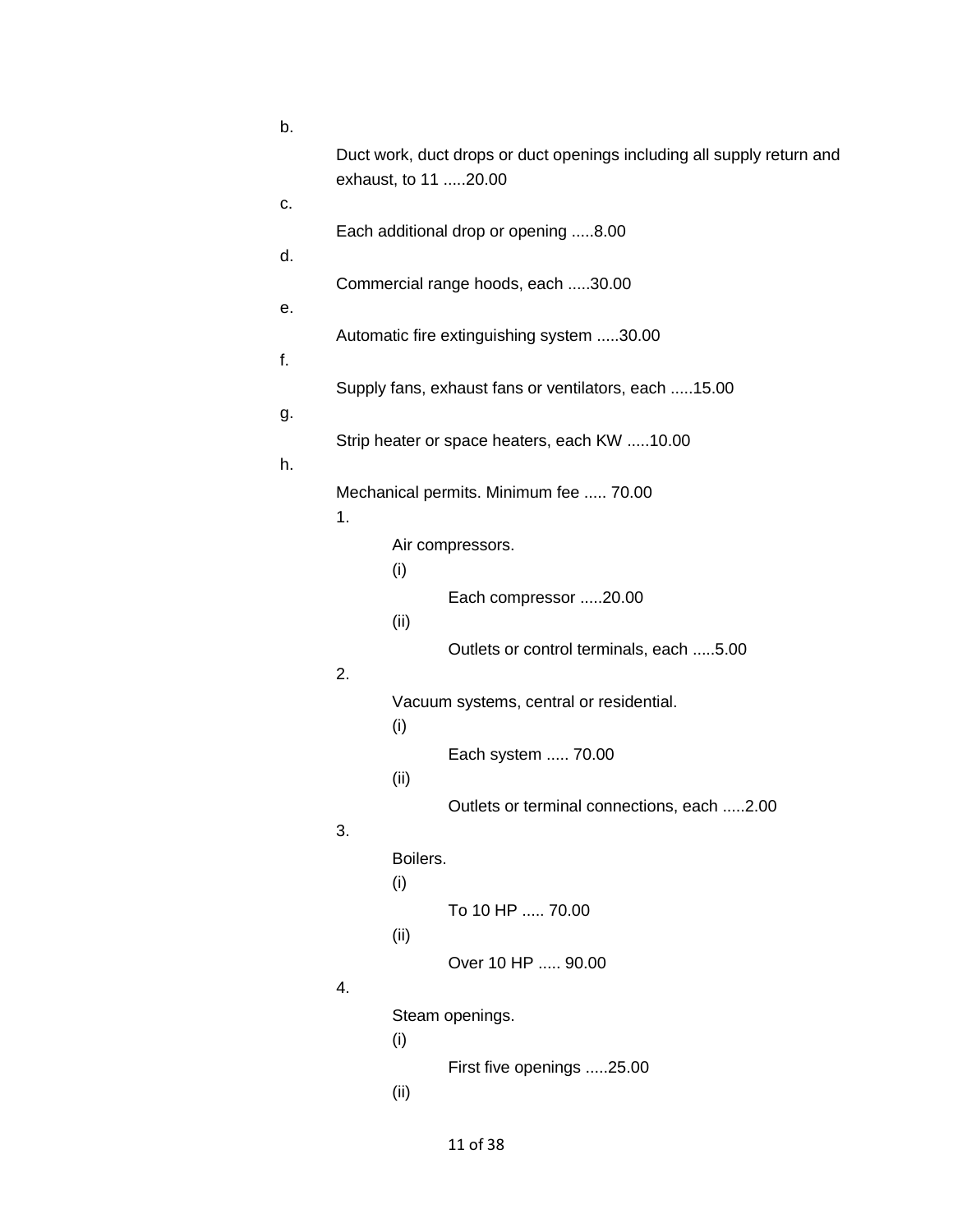| b.       |                                              |                 |                                                                                                |
|----------|----------------------------------------------|-----------------|------------------------------------------------------------------------------------------------|
|          |                                              |                 | Duct work, duct drops or duct openings including all supply return and<br>exhaust, to 11 20.00 |
| c.<br>d. |                                              |                 | Each additional drop or opening 8.00                                                           |
| е.       |                                              |                 | Commercial range hoods, each 30.00                                                             |
| f.       |                                              |                 | Automatic fire extinguishing system 30.00                                                      |
| g.       |                                              |                 | Supply fans, exhaust fans or ventilators, each 15.00                                           |
| h.       |                                              |                 | Strip heater or space heaters, each KW 10.00                                                   |
|          | Mechanical permits. Minimum fee  70.00<br>1. |                 |                                                                                                |
|          |                                              | (i)             | Air compressors.                                                                               |
|          |                                              | (ii)            | Each compressor 20.00                                                                          |
|          | 2.                                           |                 | Outlets or control terminals, each 5.00                                                        |
|          |                                              | (i)             | Vacuum systems, central or residential.                                                        |
|          |                                              | (ii)            | Each system  70.00                                                                             |
|          | 3.                                           |                 | Outlets or terminal connections, each 2.00                                                     |
|          |                                              | Boilers.<br>(i) |                                                                                                |
|          |                                              | (ii)            | To 10 HP  70.00                                                                                |
|          | 4.                                           |                 | Over 10 HP  90.00                                                                              |
|          |                                              | (i)             | Steam openings.                                                                                |
|          |                                              | (ii)            | First five openings 25.00                                                                      |
|          |                                              |                 |                                                                                                |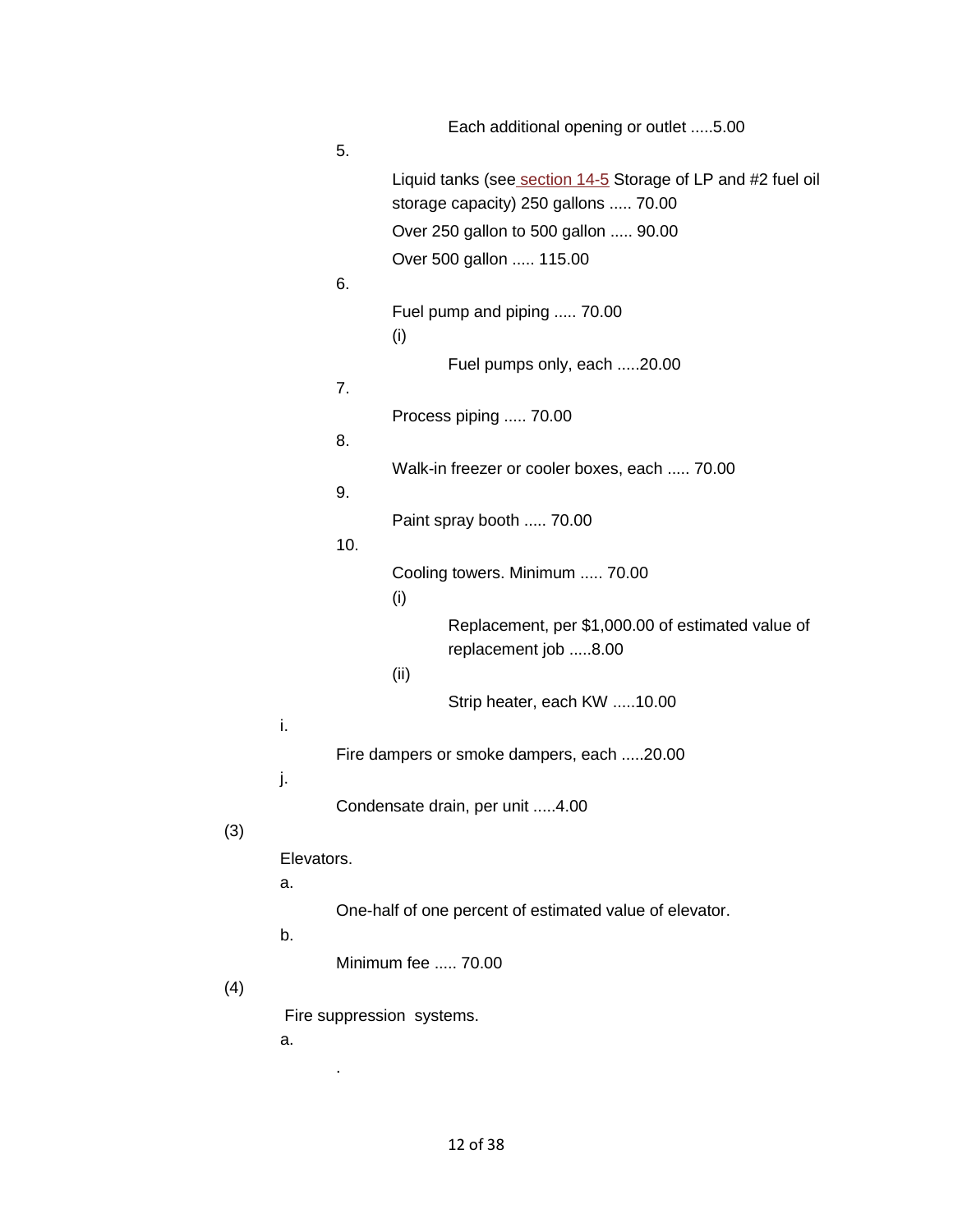|            |     | Each additional opening or outlet 5.00                                    |
|------------|-----|---------------------------------------------------------------------------|
|            | 5.  |                                                                           |
|            |     | Liquid tanks (see section 14-5 Storage of LP and #2 fuel oil              |
|            |     | storage capacity) 250 gallons  70.00                                      |
|            |     | Over 250 gallon to 500 gallon  90.00                                      |
|            |     | Over 500 gallon  115.00                                                   |
|            | 6.  |                                                                           |
|            |     | Fuel pump and piping  70.00<br>(i)                                        |
|            |     | Fuel pumps only, each 20.00                                               |
|            | 7.  |                                                                           |
|            |     | Process piping  70.00                                                     |
|            | 8.  |                                                                           |
|            |     | Walk-in freezer or cooler boxes, each  70.00                              |
|            | 9.  |                                                                           |
|            | 10. | Paint spray booth  70.00                                                  |
|            |     | Cooling towers. Minimum  70.00                                            |
|            |     | (i)                                                                       |
|            |     | Replacement, per \$1,000.00 of estimated value of<br>replacement job 8.00 |
|            |     | (ii)                                                                      |
|            |     | Strip heater, each KW 10.00                                               |
| i.         |     |                                                                           |
|            |     | Fire dampers or smoke dampers, each 20.00                                 |
| j.         |     | Condensate drain, per unit 4.00                                           |
| Elevators. |     |                                                                           |
| а.         |     |                                                                           |
|            |     | One-half of one percent of estimated value of elevator.                   |
| b.         |     |                                                                           |
|            |     | Minimum fee , 70.00                                                       |
|            |     |                                                                           |
|            |     | Fire suppression systems.                                                 |
| а.         |     |                                                                           |

(3)

(4)

.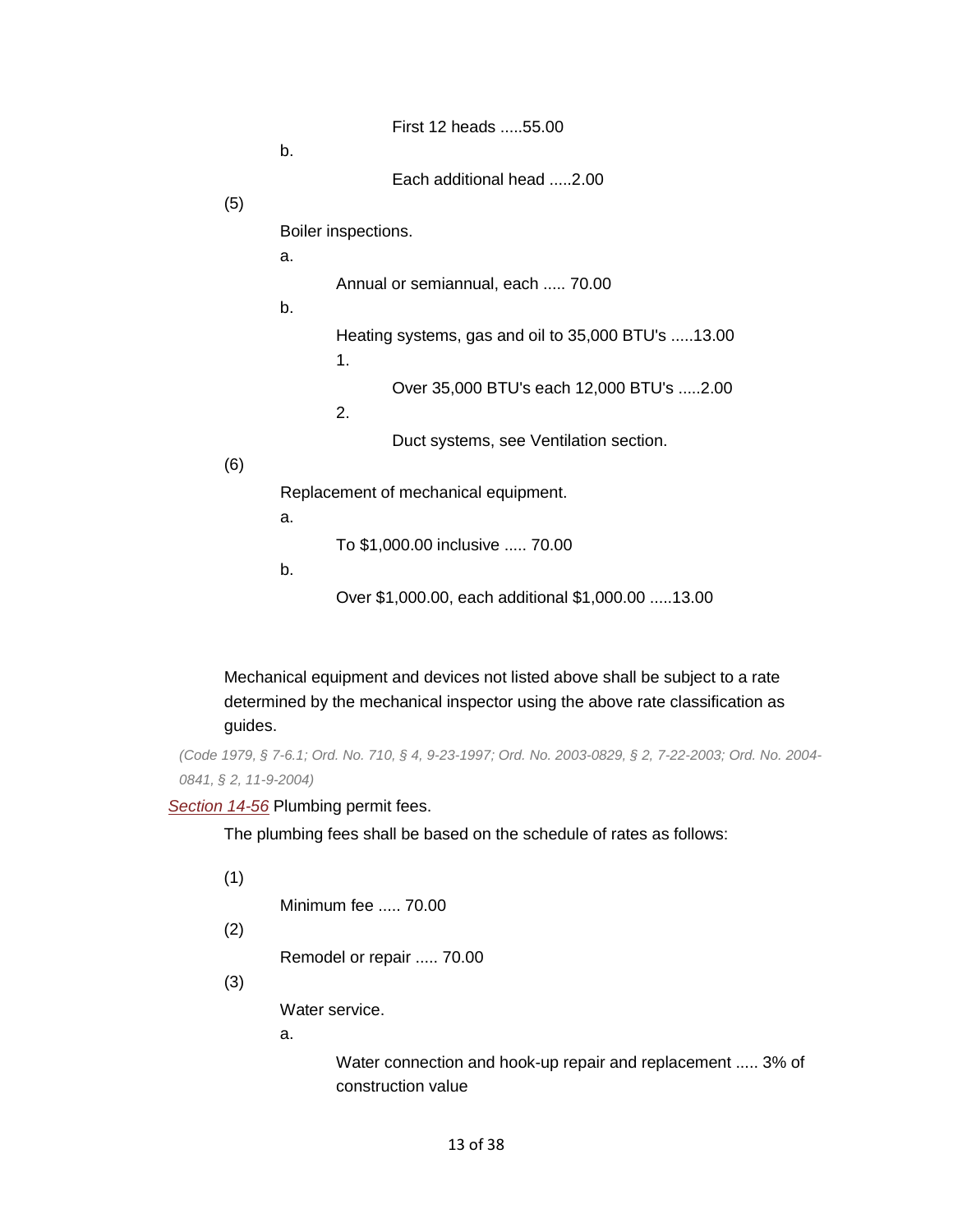|     | First 12 heads 55.00                                     |
|-----|----------------------------------------------------------|
|     | b.                                                       |
|     | Each additional head 2.00                                |
| (5) |                                                          |
|     | Boiler inspections.                                      |
|     | a.                                                       |
|     | Annual or semiannual, each  70.00                        |
|     | b.                                                       |
|     | Heating systems, gas and oil to 35,000 BTU's 13.00<br>1. |
|     | Over 35,000 BTU's each 12,000 BTU's 2.00<br>2.           |
| (6) | Duct systems, see Ventilation section.                   |
|     | Replacement of mechanical equipment.                     |
|     | a.                                                       |
|     | To \$1,000.00 inclusive  70.00                           |
|     | b.                                                       |
|     | Over \$1,000.00, each additional \$1,000.00 13.00        |

Mechanical equipment and devices not listed above shall be subject to a rate determined by the mechanical inspector using the above rate classification as guides.

```
 
(Code 1979, § 7-6.1; Ord. No. 710, § 4, 9-23-1997; Ord. No. 2003-0829, § 2, 7-22-2003; Ord. No. 2004-
0841, § 2, 11-9-2004)
```
#### *[Section 14-56](https://library.municode.com/HTML/11166/level4/PTIICICO_CH14BUBURE_ARTIIBUCO_DIV2PECE.html#PTIICICO_CH14BUBURE_ARTIIBUCO_DIV2PECE_S14-56PLPEFE)* Plumbing permit fees.

The plumbing fees shall be based on the schedule of rates as follows:

(1)

```
 
Minimum fee ..... 70.00
```
(2)

Remodel or repair ..... 70.00

(3)

Water service.

a.

 Water connection and hook-up repair and replacement ..... 3% of construction value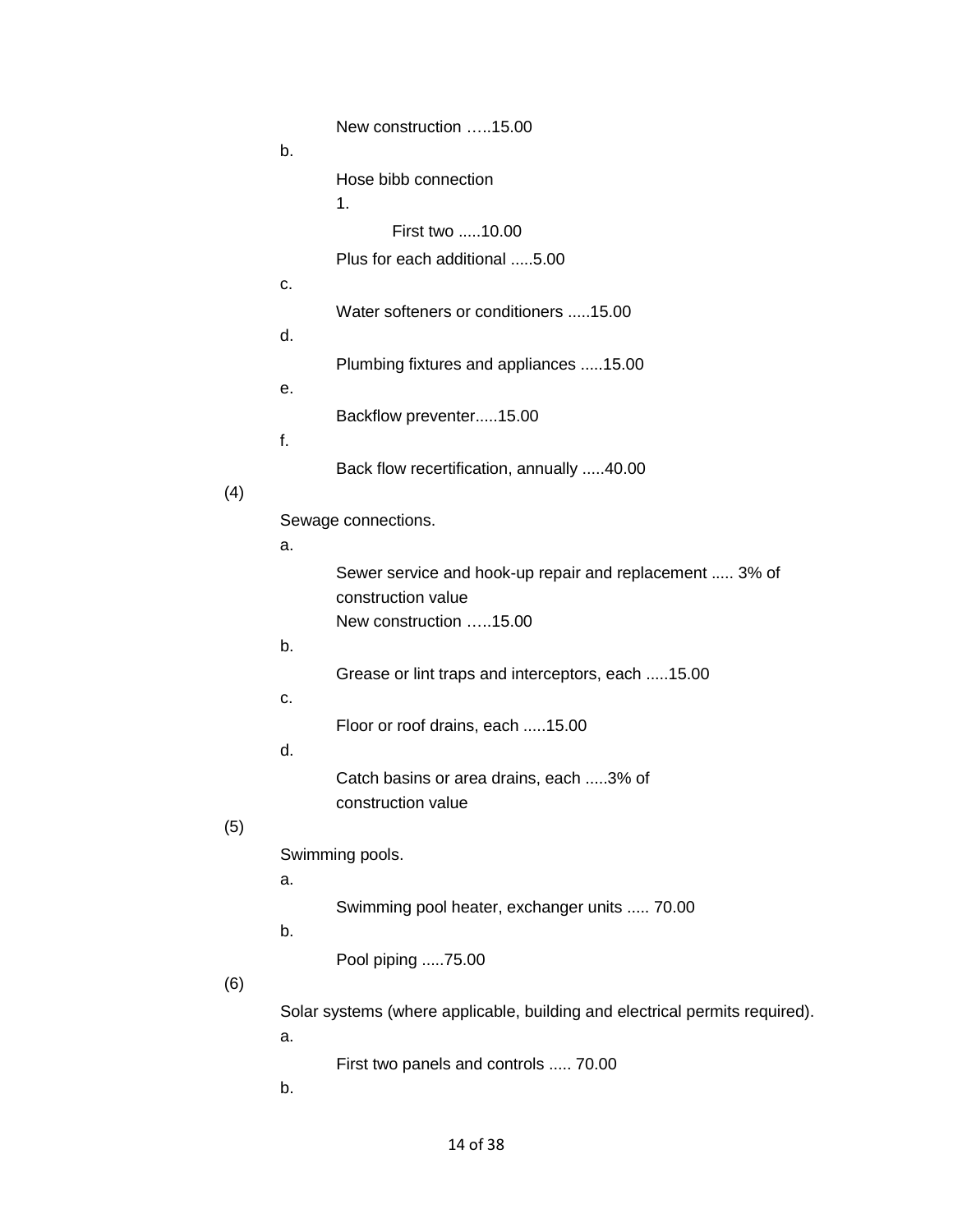|     |    | New construction 15.00                                                      |
|-----|----|-----------------------------------------------------------------------------|
|     | b. |                                                                             |
|     |    | Hose bibb connection                                                        |
|     |    | 1.                                                                          |
|     |    | First two 10.00                                                             |
|     |    | Plus for each additional 5.00                                               |
|     | С. |                                                                             |
|     | d. | Water softeners or conditioners 15.00                                       |
|     |    | Plumbing fixtures and appliances 15.00                                      |
|     | е. |                                                                             |
|     |    | Backflow preventer15.00                                                     |
|     | f. |                                                                             |
|     |    | Back flow recertification, annually 40.00                                   |
| (4) |    |                                                                             |
|     |    | Sewage connections.                                                         |
|     | a. |                                                                             |
|     |    | Sewer service and hook-up repair and replacement  3% of                     |
|     |    | construction value<br>New construction 15.00                                |
|     | b. |                                                                             |
|     |    | Grease or lint traps and interceptors, each 15.00                           |
|     | С. |                                                                             |
|     |    | Floor or roof drains, each 15.00                                            |
|     | d. |                                                                             |
|     |    | Catch basins or area drains, each 3% of                                     |
|     |    | construction value                                                          |
| (5) |    |                                                                             |
|     | a. | Swimming pools.                                                             |
|     |    | Swimming pool heater, exchanger units  70.00                                |
|     | b. |                                                                             |
|     |    | Pool piping 75.00                                                           |
| (6) |    |                                                                             |
|     |    | Solar systems (where applicable, building and electrical permits required). |
|     | a. |                                                                             |
|     |    | First two panels and controls  70.00                                        |

b.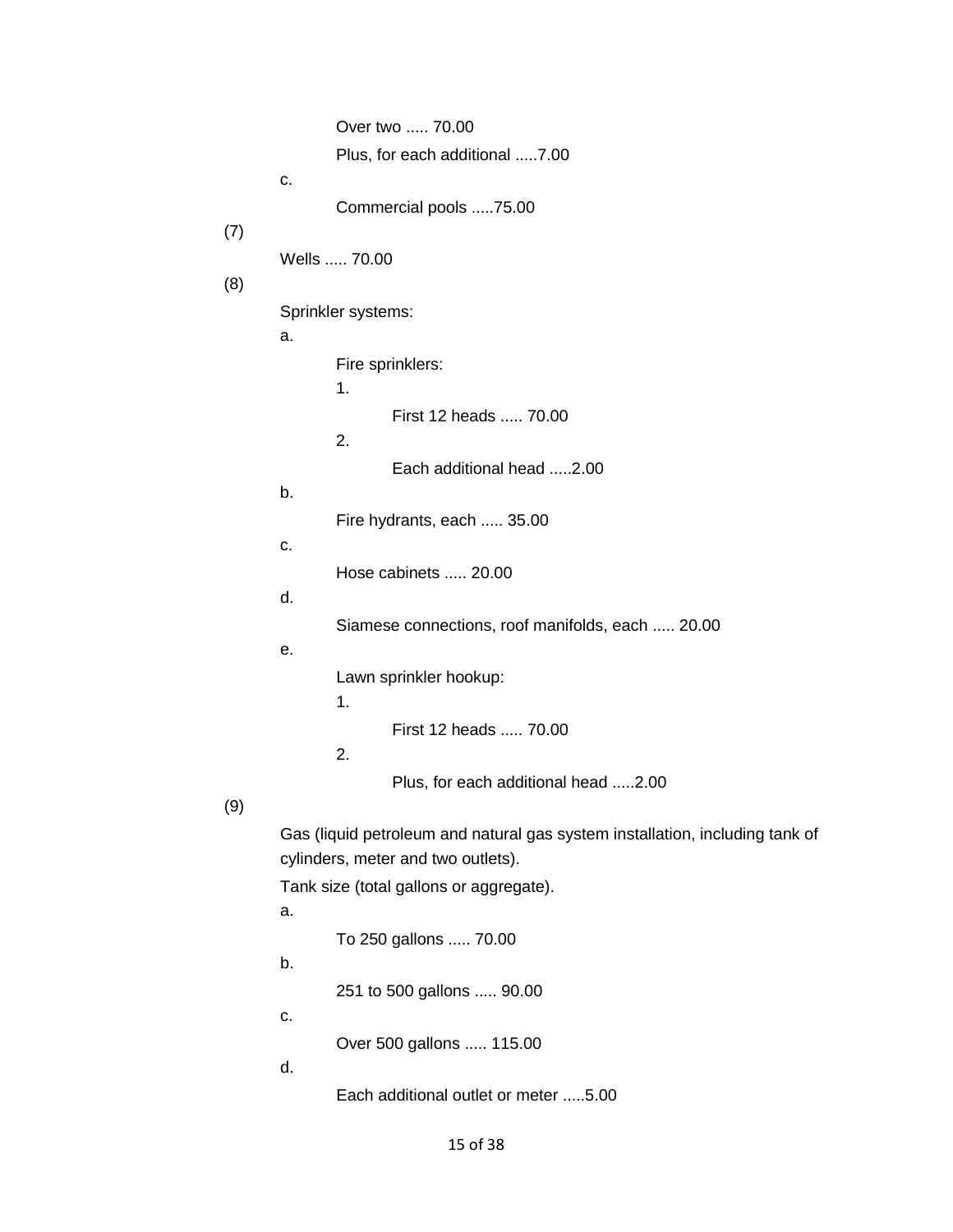Over two ..... 70.00 Wells ..... 70.00 First 12 heads ..... 70.00 Fire hydrants, each ..... 35.00 Hose cabinets ..... 20.00 Siamese connections, roof manifolds, each ..... 20.00 First 12 heads ..... 70.00 Gas (liquid petroleum and natural gas system installation, including tank of To 250 gallons ..... 70.00 251 to 500 gallons ..... 90.00 Over 500 gallons ..... 115.00 Plus, for each additional .....7.00 c. Commercial pools .....75.00 (7) (8) Sprinkler systems: a. Fire sprinklers: 1. 2. Each additional head .....2.00 b. c. d. e. Lawn sprinkler hookup: 1. 2. Plus, for each additional head .....2.00 (9) cylinders, meter and two outlets). Tank size (total gallons or aggregate). a. b. c. d.

Each additional outlet or meter .....5.00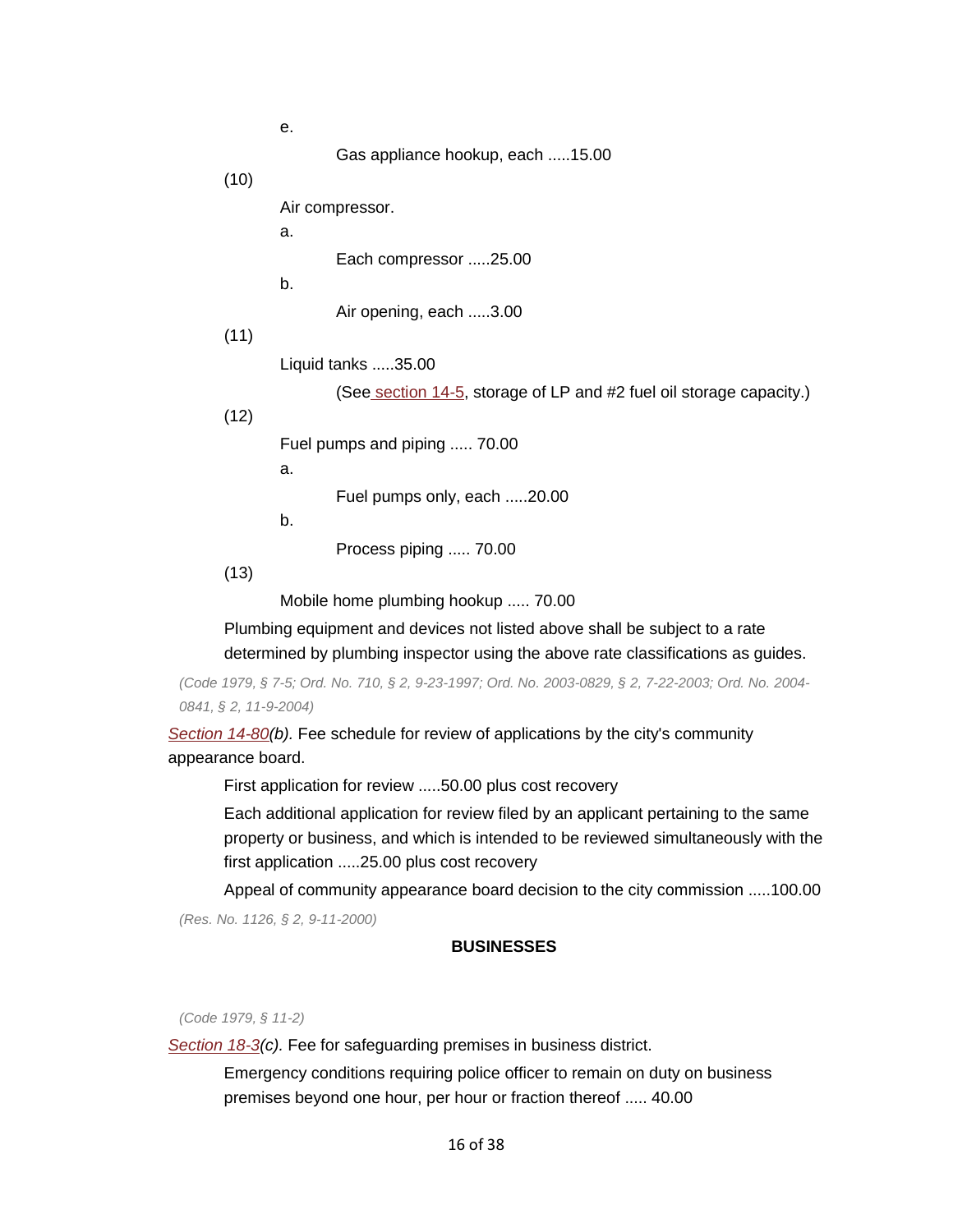Gas appliance hookup, each .....15.00

(10)

Air compressor.

Each compressor .....25.00

b.

a.

e.

Air opening, each .....3.00

(11)

Liquid tanks .....35.00

(Se[e section 14-5,](https://library.municode.com/HTML/11166/level3/PTIICICO_CH14BUBURE_ARTIINGE.html#PTIICICO_CH14BUBURE_ARTIINGE_S14-5STLPGANO2FUOIDIFU) storage of LP and #2 fuel oil storage capacity.)

(12)

Fuel pumps and piping ..... 70.00

a.

Fuel pumps only, each .....20.00

b.

Process piping ..... 70.00

(13)

Mobile home plumbing hookup ..... 70.00

Plumbing equipment and devices not listed above shall be subject to a rate determined by plumbing inspector using the above rate classifications as guides.

*(Code 1979, § 7-5; Ord. No. 710, § 2, 9-23-1997; Ord. No. 2003-0829, § 2, 7-22-2003; Ord. No. 2004- 0841, § 2, 11-9-2004)* 

*[Section 14-80\(](https://library.municode.com/HTML/11166/level3/PTIICICO_CH14BUBURE_ARTIIICOAPBO.html#PTIICICO_CH14BUBURE_ARTIIICOAPBO_S14-80SUPLSPNO)b).* Fee schedule for review of applications by the city's community appearance board.

First application for review .....50.00 plus cost recovery

first application .....25.00 plus cost recovery Each additional application for review filed by an applicant pertaining to the same property or business, and which is intended to be reviewed simultaneously with the

Appeal of community appearance board decision to the city commission .....100.00 *(Res. No. 1126, § 2, 9-11-2000)* 

# **BUSINESSES**

*(Code 1979, § 11-2)* 

*[Section 18-3\(](https://library.municode.com/HTML/11166/level3/PTIICICO_CH18BU_ARTIINGE.html#PTIICICO_CH18BU_ARTIINGE_S18-3SAPRBUDI)c).* Fee for safeguarding premises in business district.

 premises beyond one hour, per hour or fraction thereof ..... 40.00 Emergency conditions requiring police officer to remain on duty on business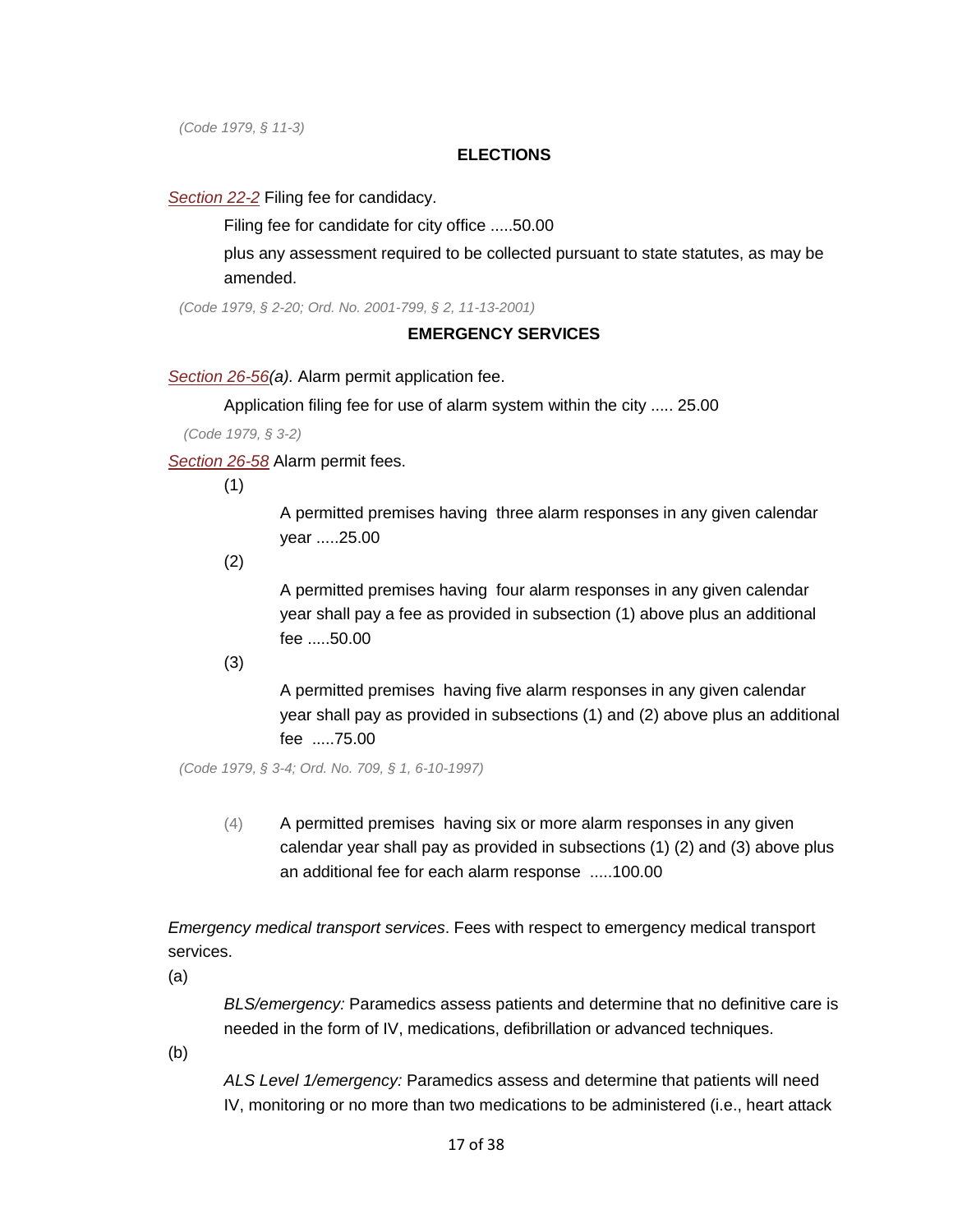*(Code 1979, § 11-3)* 

### **ELECTIONS**

*[Section 22-2](https://library.municode.com/HTML/11166/level2/PTIICICO_CH22EL.html#PTIICICO_CH22EL_S22-2FICAOAFIFE)* Filing fee for candidacy.

Filing fee for candidate for city office .....50.00

plus any assessment required to be collected pursuant to state statutes, as may be amended.

*(Code 1979, § 2-20; Ord. No. 2001-799, § 2, 11-13-2001)* 

### **EMERGENCY SERVICES**

*[Section 26-56\(](https://library.municode.com/HTML/11166/level4/PTIICICO_CH26EMSE_ARTIIALSY_DIV2PE.html#PTIICICO_CH26EMSE_ARTIIALSY_DIV2PE_S26-56ALPEAP)a).* Alarm permit application fee.

Application filing fee for use of alarm system within the city ..... 25.00

*(Code 1979, § 3-2)* 

*[Section 26-58](https://library.municode.com/HTML/11166/level4/PTIICICO_CH26EMSE_ARTIIALSY_DIV2PE.html#PTIICICO_CH26EMSE_ARTIIALSY_DIV2PE_S26-58ALPEFE)* Alarm permit fees.

(1)

A permitted premises having three alarm responses in any given calendar year .....25.00

(2)

A permitted premises having four alarm responses in any given calendar year shall pay a fee as provided in subsection (1) above plus an additional fee .....50.00

(3)

A permitted premises having five alarm responses in any given calendar year shall pay as provided in subsections (1) and (2) above plus an additional fee .....75.00

*(Code 1979, § 3-4; Ord. No. 709, § 1, 6-10-1997)* 

 (4) A permitted premises having six or more alarm responses in any given calendar year shall pay as provided in subsections (1) (2) and (3) above plus an additional fee for each alarm response .....100.00

services.<br>(a) *Emergency medical transport services*. Fees with respect to emergency medical transport

*BLS/emergency:* Paramedics assess patients and determine that no definitive care is needed in the form of IV, medications, defibrillation or advanced techniques.

(b)

*ALS Level 1/emergency:* Paramedics assess and determine that patients will need IV, monitoring or no more than two medications to be administered (i.e., heart attack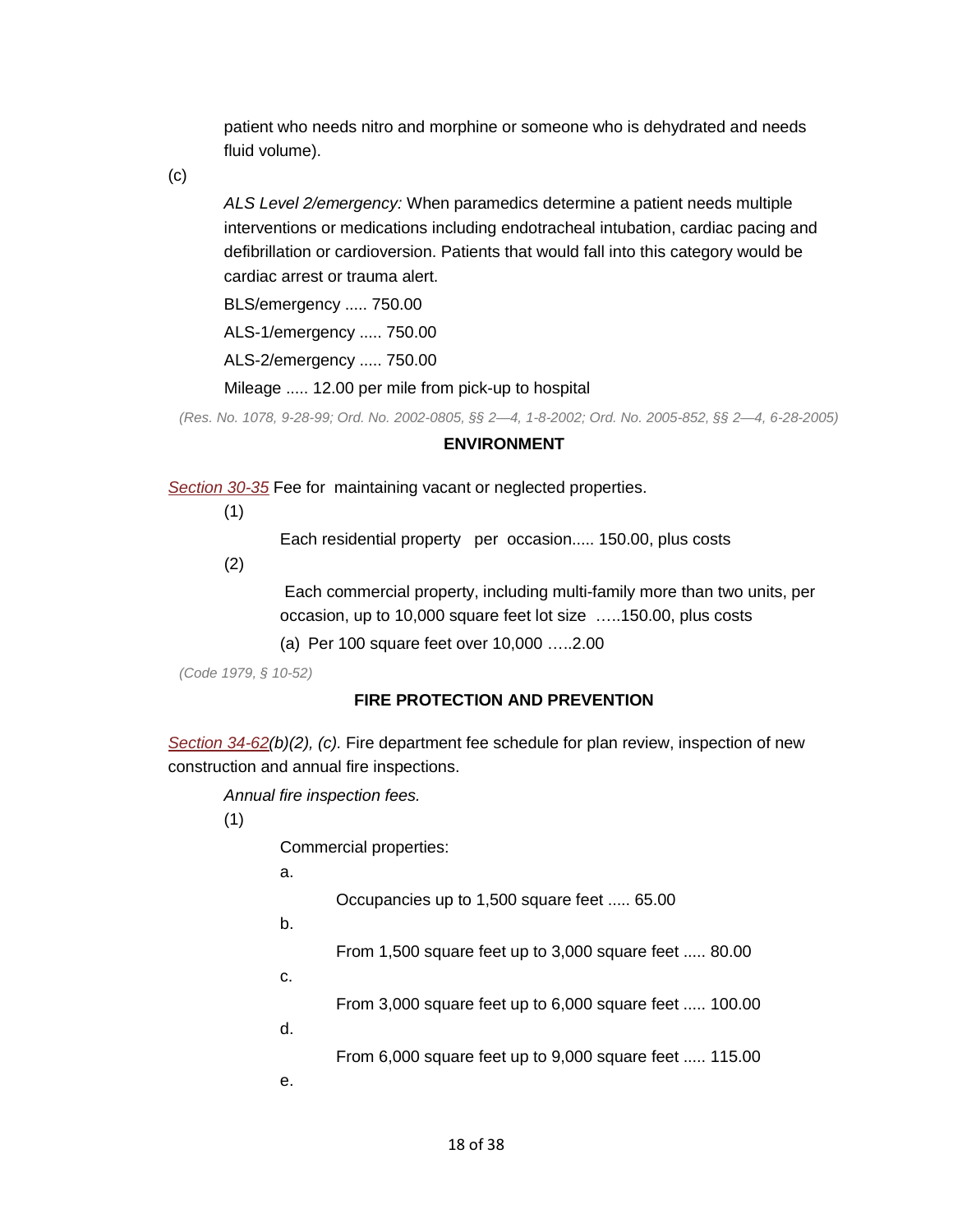patient who needs nitro and morphine or someone who is dehydrated and needs fluid volume).

(c)

 interventions or medications including endotracheal intubation, cardiac pacing and *ALS Level 2/emergency:* When paramedics determine a patient needs multiple defibrillation or cardioversion. Patients that would fall into this category would be cardiac arrest or trauma alert.

BLS/emergency ..... 750.00

ALS-1/emergency ..... 750.00

ALS-2/emergency ..... 750.00

Mileage ..... 12.00 per mile from pick-up to hospital

*(Res. No. 1078, 9-28-99; Ord. No. 2002-0805, §§ 2—4, 1-8-2002; Ord. No. 2005-852, §§ 2—4, 6-28-2005)* 

#### **ENVIRONMENT**

*[Section 30-35](https://library.municode.com/HTML/11166/level3/PTIICICO_CH30EN_ARTIILOCL.html#PTIICICO_CH30EN_ARTIILOCL_S30-35MOVALO)* Fee for maintaining vacant or neglected properties.

(1)

Each residential property per occasion..... 150.00, plus costs

(2)

 Each commercial property, including multi-family more than two units, per occasion, up to 10,000 square feet lot size …..150.00, plus costs

(a) Per 100 square feet over 10,000 …..2.00

*(Code 1979, § 10-52)* 

### **FIRE PROTECTION AND PREVENTION**

*[Section 34-62\(](https://library.municode.com/HTML/11166/level3/PTIICICO_CH34FIPRPR_ARTIIIFIST.html#PTIICICO_CH34FIPRPR_ARTIIIFIST_S34-62FIDEFESCPLREINNECOANFIIN)b)(2), (c).* Fire department fee schedule for plan review, inspection of new construction and annual fire inspections.

*Annual fire inspection fees.* 

(1)

Commercial properties:

a.

Occupancies up to 1,500 square feet ..... 65.00

b.

From 1,500 square feet up to 3,000 square feet ..... 80.00

c.

From 3,000 square feet up to 6,000 square feet ..... 100.00

d.

From 6,000 square feet up to 9,000 square feet ..... 115.00

e.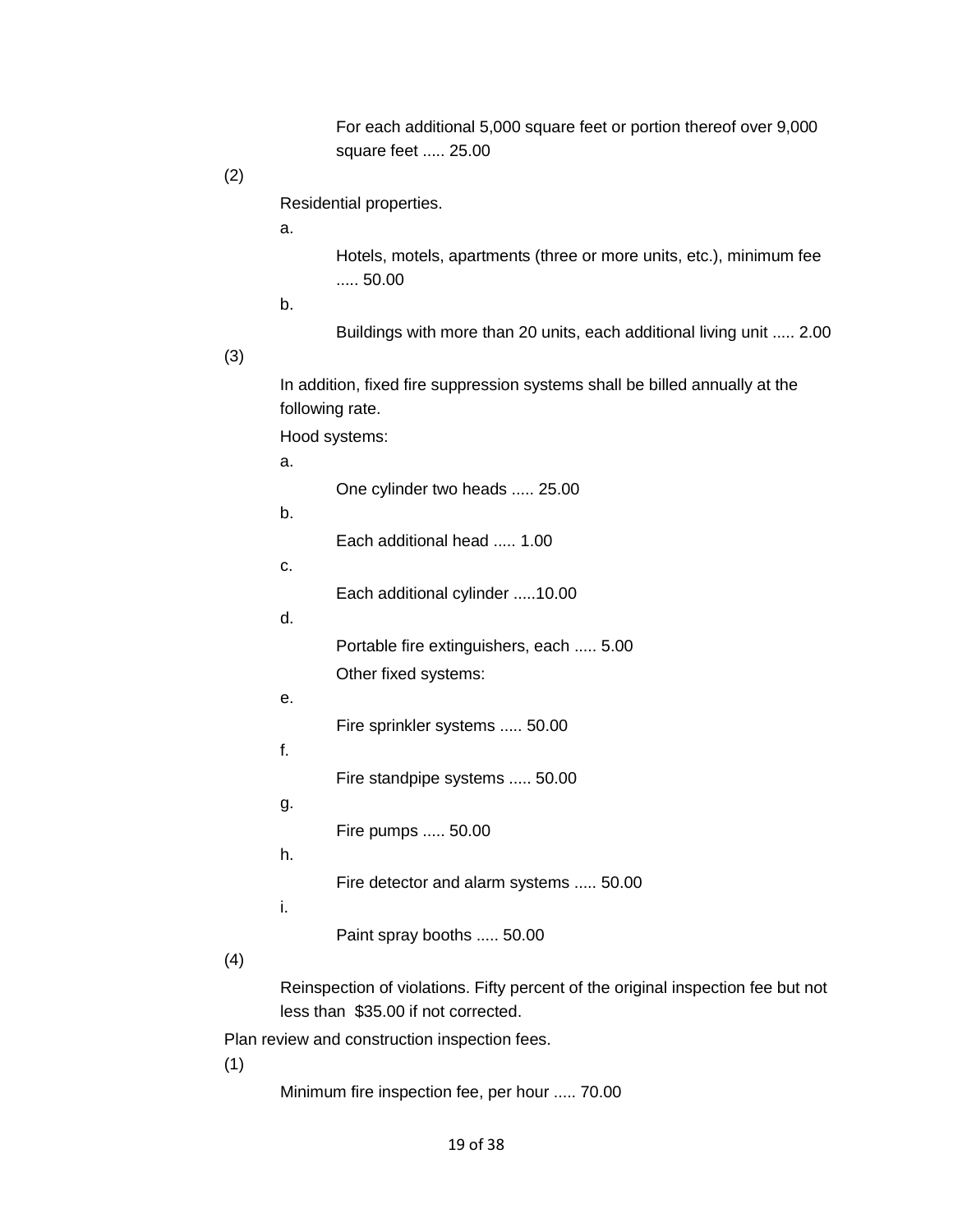square feet ..... 25.00 For each additional 5,000 square feet or portion thereof over 9,000

# (2)

Residential properties.

a.

 ..... 50.00 Hotels, motels, apartments (three or more units, etc.), minimum fee

b.

Buildings with more than 20 units, each additional living unit ..... 2.00

(3)

In addition, fixed fire suppression systems shall be billed annually at the following rate.

Hood systems:

| a. |                                         |
|----|-----------------------------------------|
|    | One cylinder two heads  25.00           |
| b. |                                         |
|    | Each additional head  1.00              |
| c. |                                         |
|    | Each additional cylinder 10.00          |
| d. |                                         |
|    | Portable fire extinguishers, each  5.00 |
|    | Other fixed systems:                    |
| е. |                                         |
|    | Fire sprinkler systems  50.00           |
| f. |                                         |
|    | Fire standpipe systems  50.00           |
| g. |                                         |
|    | Fire pumps  50.00                       |
| h. |                                         |
| i. | Fire detector and alarm systems  50.00  |
|    |                                         |
|    | Paint spray booths  50.00               |
|    |                                         |

(4)

 less than \$35.00 if not corrected. Reinspection of violations. Fifty percent of the original inspection fee but not

Plan review and construction inspection fees.

(1)

Minimum fire inspection fee, per hour ..... 70.00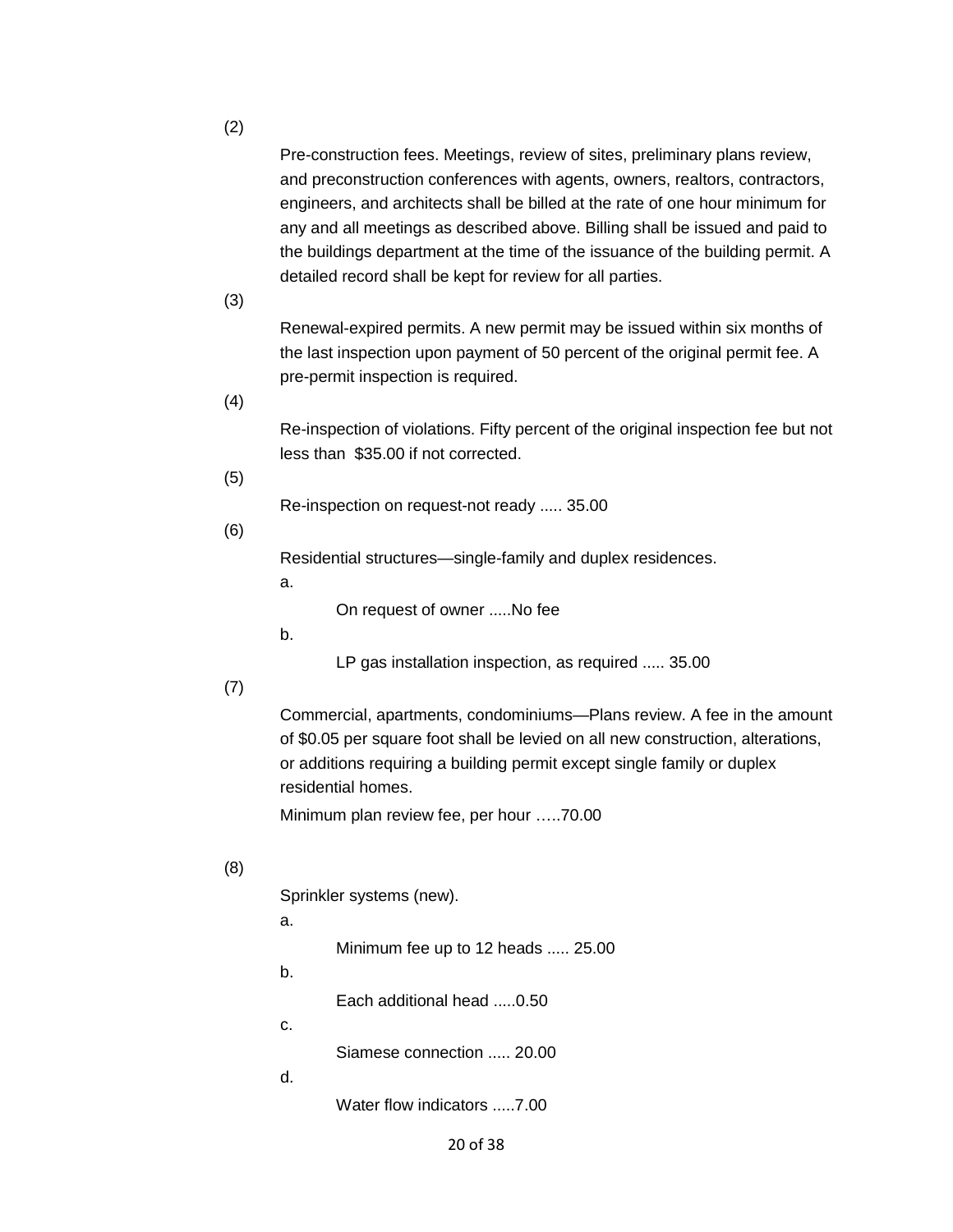(2)

Pre-construction fees. Meetings, review of sites, preliminary plans review, and preconstruction conferences with agents, owners, realtors, contractors, engineers, and architects shall be billed at the rate of one hour minimum for any and all meetings as described above. Billing shall be issued and paid to the buildings department at the time of the issuance of the building permit. A detailed record shall be kept for review for all parties.

(3)

 Renewal-expired permits. A new permit may be issued within six months of the last inspection upon payment of 50 percent of the original permit fee. A pre-permit inspection is required.

(4)

 less than \$35.00 if not corrected. Re-inspection of violations. Fifty percent of the original inspection fee but not

(5)

Re-inspection on request-not ready ..... 35.00

(6)

Residential structures—single-family and duplex residences.

a.

On request of owner .....No fee

b.

LP gas installation inspection, as required ..... 35.00

(7)

Commercial, apartments, condominiums—Plans review. A fee in the amount of \$0.05 per square foot shall be levied on all new construction, alterations, or additions requiring a building permit except single family or duplex residential homes.

Minimum plan review fee, per hour …..70.00<br>(8)

Sprinkler systems (new).

a.

Minimum fee up to 12 heads ..... 25.00

b.

Each additional head .....0.50

c.

Siamese connection ..... 20.00

d.

Water flow indicators .....7.00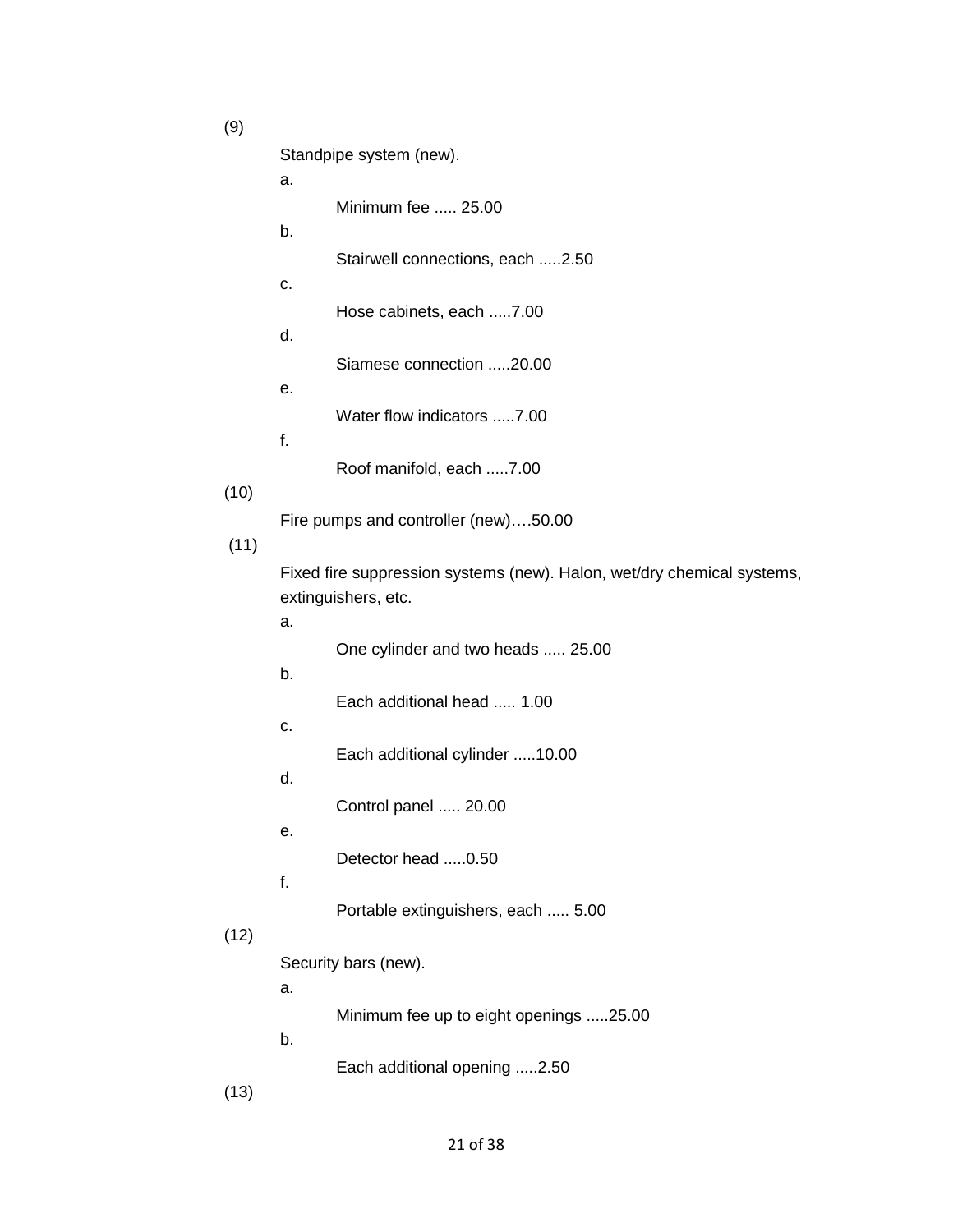Minimum fee ..... 25.00 (11) One cylinder and two heads ..... 25.00 Each additional head ..... 1.00 Control panel ..... 20.00 Portable extinguishers, each ..... 5.00 (9) Standpipe system (new). a. b. Stairwell connections, each .....2.50 c. Hose cabinets, each .....7.00 d. Siamese connection .....20.00 e. Water flow indicators .....7.00 f. Roof manifold, each .....7.00 (10) Fire pumps and controller (new)….50.00 Fixed fire suppression systems (new). Halon, wet/dry chemical systems, extinguishers, etc. a. b. c. Each additional cylinder .....10.00 d. e. Detector head .....0.50 f.  $(12)$ Security bars (new). a. Minimum fee up to eight openings .....25.00 b. Each additional opening .....2.50 (13)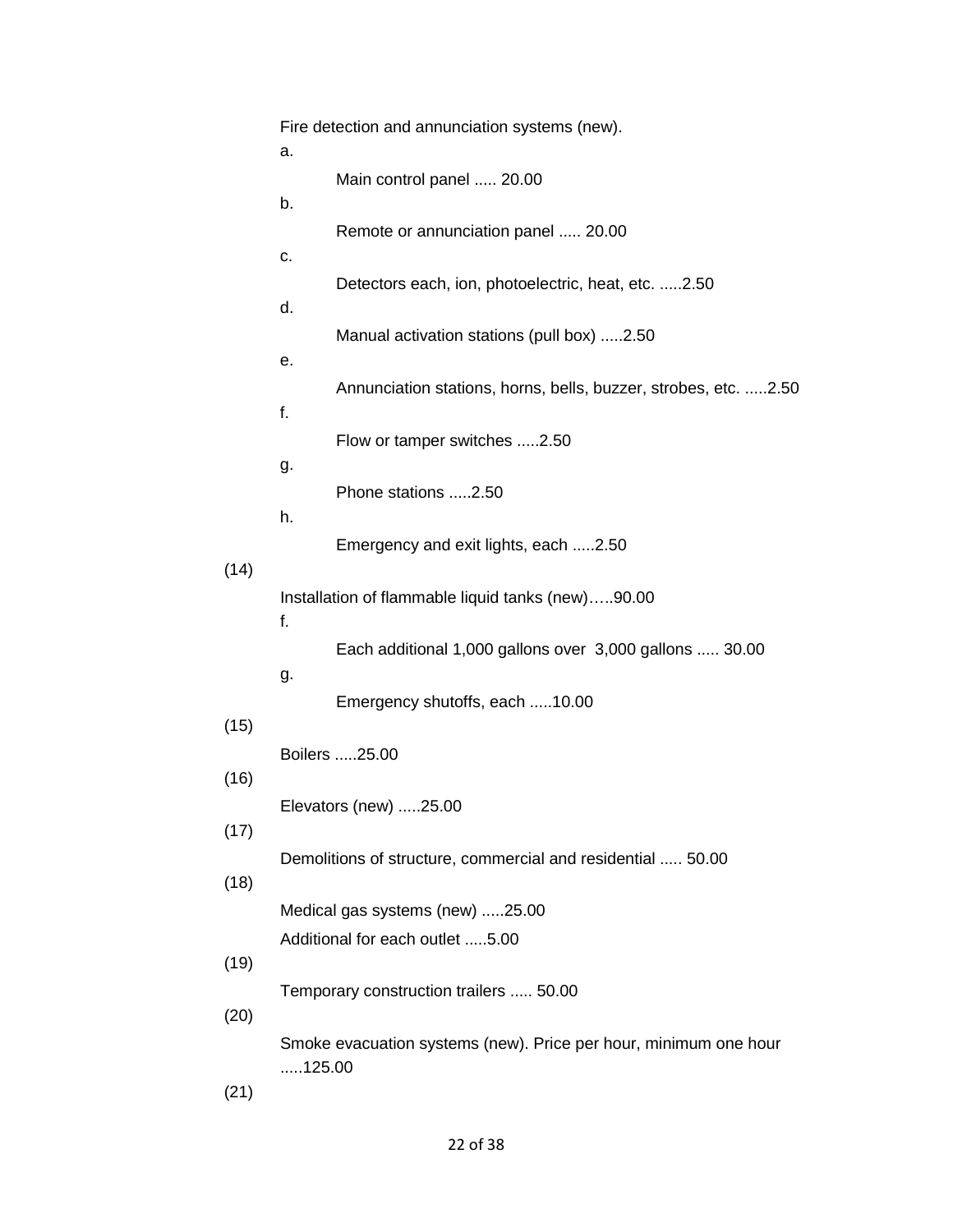|                               | Fire detection and annunciation systems (new).              |                                                                  |  |
|-------------------------------|-------------------------------------------------------------|------------------------------------------------------------------|--|
|                               | a.                                                          | Main control panel  20.00                                        |  |
|                               | b.                                                          | Remote or annunciation panel  20.00                              |  |
|                               | c.                                                          |                                                                  |  |
|                               | d.                                                          | Detectors each, ion, photoelectric, heat, etc. 2.50              |  |
|                               |                                                             | Manual activation stations (pull box) 2.50                       |  |
|                               | е.                                                          | Annunciation stations, horns, bells, buzzer, strobes, etc. 2.50  |  |
|                               | f.                                                          |                                                                  |  |
|                               | g.                                                          | Flow or tamper switches 2.50                                     |  |
|                               | h.                                                          | Phone stations 2.50                                              |  |
|                               |                                                             | Emergency and exit lights, each 2.50                             |  |
| (14)                          | f.                                                          | Installation of flammable liquid tanks (new)90.00                |  |
|                               |                                                             | Each additional 1,000 gallons over 3,000 gallons  30.00          |  |
| (15)                          | g.                                                          | Emergency shutoffs, each 10.00                                   |  |
|                               |                                                             | Boilers 25.00                                                    |  |
| (16)<br>Elevators (new) 25.00 |                                                             |                                                                  |  |
| (17)                          | Demolitions of structure, commercial and residential  50.00 |                                                                  |  |
| (18)                          | Medical gas systems (new) 25.00                             |                                                                  |  |
|                               |                                                             | Additional for each outlet 5.00                                  |  |
| (19)                          | Temporary construction trailers  50.00                      |                                                                  |  |
| (20)                          |                                                             |                                                                  |  |
|                               | 125.00                                                      | Smoke evacuation systems (new). Price per hour, minimum one hour |  |
| (21)                          |                                                             |                                                                  |  |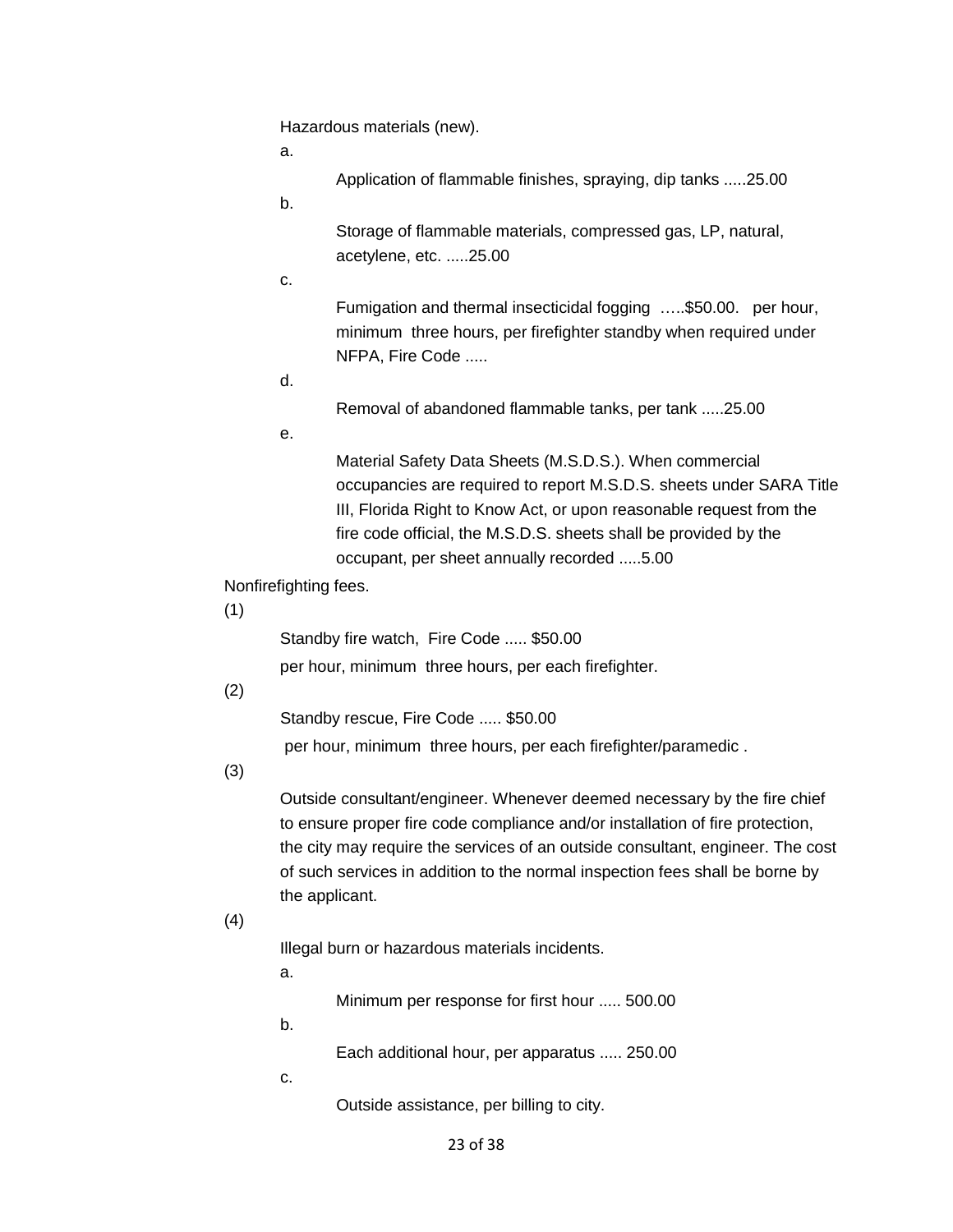Hazardous materials (new).

a.

Application of flammable finishes, spraying, dip tanks .....25.00

b.

Storage of flammable materials, compressed gas, LP, natural, acetylene, etc. .....25.00

c.

 minimum three hours, per firefighter standby when required under NFPA, Fire Code .....<br>d. Fumigation and thermal insecticidal fogging …..\$50.00. per hour,

Removal of abandoned flammable tanks, per tank .....25.00

e.

Material Safety Data Sheets (M.S.D.S.). When commercial occupancies are required to report M.S.D.S. sheets under SARA Title III, Florida Right to Know Act, or upon reasonable request from the fire code official, the M.S.D.S. sheets shall be provided by the occupant, per sheet annually recorded .....5.00

Nonfirefighting fees.

(1)

Standby fire watch, Fire Code ..... \$50.00

per hour, minimum three hours, per each firefighter.

(2)

Standby rescue, Fire Code ..... \$50.00

per hour, minimum three hours, per each firefighter/paramedic .

(3)

Outside consultant/engineer. Whenever deemed necessary by the fire chief to ensure proper fire code compliance and/or installation of fire protection, the city may require the services of an outside consultant, engineer. The cost of such services in addition to the normal inspection fees shall be borne by the applicant.

# (4)

Illegal burn or hazardous materials incidents.

a.

Minimum per response for first hour ..... 500.00

b.

Each additional hour, per apparatus ..... 250.00

c.

Outside assistance, per billing to city.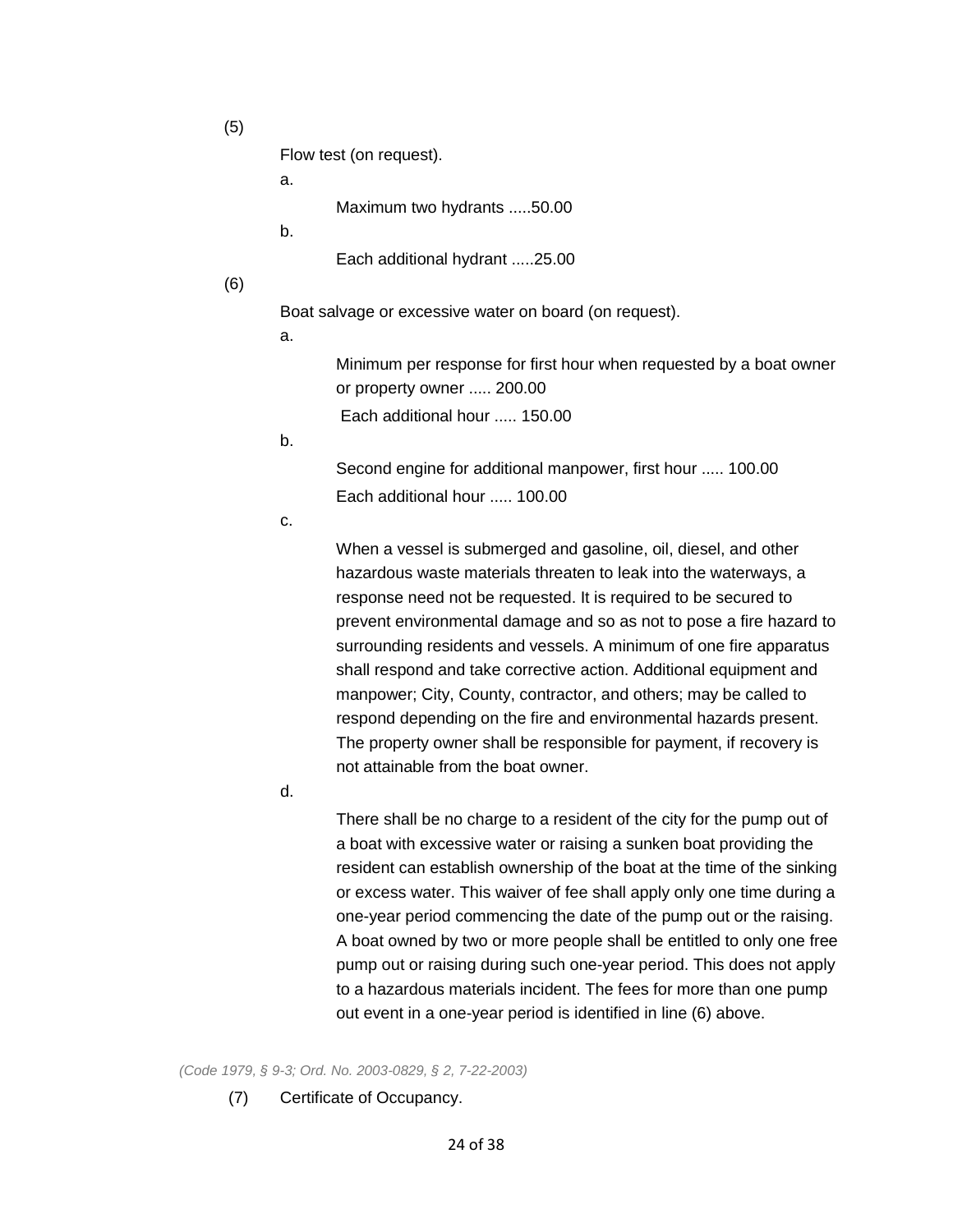(5)

Flow test (on request).

a.

Maximum two hydrants .....50.00

b.

Each additional hydrant .....25.00

(6)

Boat salvage or excessive water on board (on request).

a.

 or property owner ..... 200.00 Minimum per response for first hour when requested by a boat owner

Each additional hour ..... 150.00

b.

 Second engine for additional manpower, first hour ..... 100.00 Each additional hour ..... 100.00

c.

 shall respond and take corrective action. Additional equipment and When a vessel is submerged and gasoline, oil, diesel, and other hazardous waste materials threaten to leak into the waterways, a response need not be requested. It is required to be secured to prevent environmental damage and so as not to pose a fire hazard to surrounding residents and vessels. A minimum of one fire apparatus manpower; City, County, contractor, and others; may be called to respond depending on the fire and environmental hazards present. The property owner shall be responsible for payment, if recovery is not attainable from the boat owner.

d.

There shall be no charge to a resident of the city for the pump out of a boat with excessive water or raising a sunken boat providing the resident can establish ownership of the boat at the time of the sinking or excess water. This waiver of fee shall apply only one time during a one-year period commencing the date of the pump out or the raising. A boat owned by two or more people shall be entitled to only one free pump out or raising during such one-year period. This does not apply to a hazardous materials incident. The fees for more than one pump out event in a one-year period is identified in line (6) above.

*(Code 1979, § 9-3; Ord. No. 2003-0829, § 2, 7-22-2003)* 

 $(7)$ Certificate of Occupancy.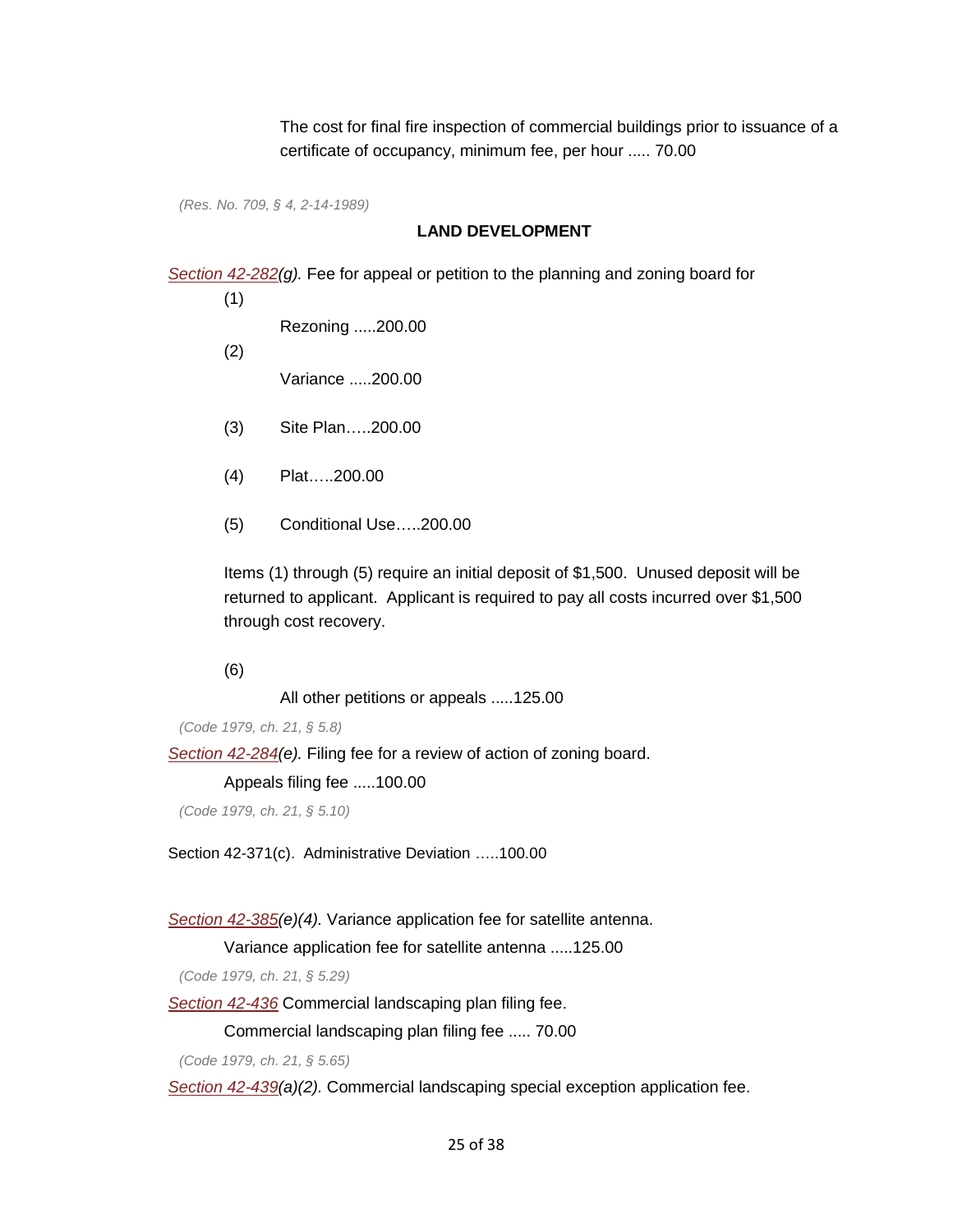certificate of occupancy, minimum fee, per hour ..... 70.00 The cost for final fire inspection of commercial buildings prior to issuance of a

*(Res. No. 709, § 4, 2-14-1989)* 

## **LAND DEVELOPMENT**

*[Section 42-282\(](https://library.municode.com/HTML/11166/level5/PTIICICO_CH42LADECO_ARTIVZO_DIV2ADEN_SDIIPLZOBO.html#PTIICICO_CH42LADECO_ARTIVZO_DIV2ADEN_SDIIPLZOBO_S42-282PR)g).* Fee for appeal or petition to the planning and zoning board for

(1)

Rezoning .....200.00

(2)

Variance .....200.00

- (3) Site Plan…..200.00
- (4) Plat…..200.00
- (5) Conditional Use…..200.00

 Items (1) through (5) require an initial deposit of \$1,500. Unused deposit will be through cost recovery.<br>(6) returned to applicant. Applicant is required to pay all costs incurred over \$1,500

All other petitions or appeals .....125.00

*(Code 1979, ch. 21, § 5.8)* 

*[Section 42-284\(](https://library.municode.com/HTML/11166/level5/PTIICICO_CH42LADECO_ARTIVZO_DIV2ADEN_SDIIPLZOBO.html#PTIICICO_CH42LADECO_ARTIVZO_DIV2ADEN_SDIIPLZOBO_S42-284APBOCO)e).* Filing fee for a review of action of zoning board.

Appeals filing fee .....100.00

*(Code 1979, ch. 21, § 5.10)* 

Section 42-371(c). Administrative Deviation …..100.00

#### *[Section 42-385\(](https://library.municode.com/HTML/11166/level4/PTIICICO_CH42LADECO_ARTIVZO_DIV5SURERESPUS.html#PTIICICO_CH42LADECO_ARTIVZO_DIV5SURERESPUS_S42-385SADIAN)e)(4).* Variance application fee for satellite antenna.

Variance application fee for satellite antenna .....125.00

*(Code 1979, ch. 21, § 5.29)* 

*[Section 42-436](https://library.municode.com/HTML/11166/level4/PTIICICO_CH42LADECO_ARTIVZO_DIV7COLA.html#PTIICICO_CH42LADECO_ARTIVZO_DIV7COLA_S42-436FE)* Commercial landscaping plan filing fee.

Commercial landscaping plan filing fee ..... 70.00

*(Code 1979, ch. 21, § 5.65)* 

*[Section 42-439\(](https://library.municode.com/HTML/11166/level4/PTIICICO_CH42LADECO_ARTIVZO_DIV7COLA.html#PTIICICO_CH42LADECO_ARTIVZO_DIV7COLA_S42-439SPEX)a)(2).* Commercial landscaping special exception application fee.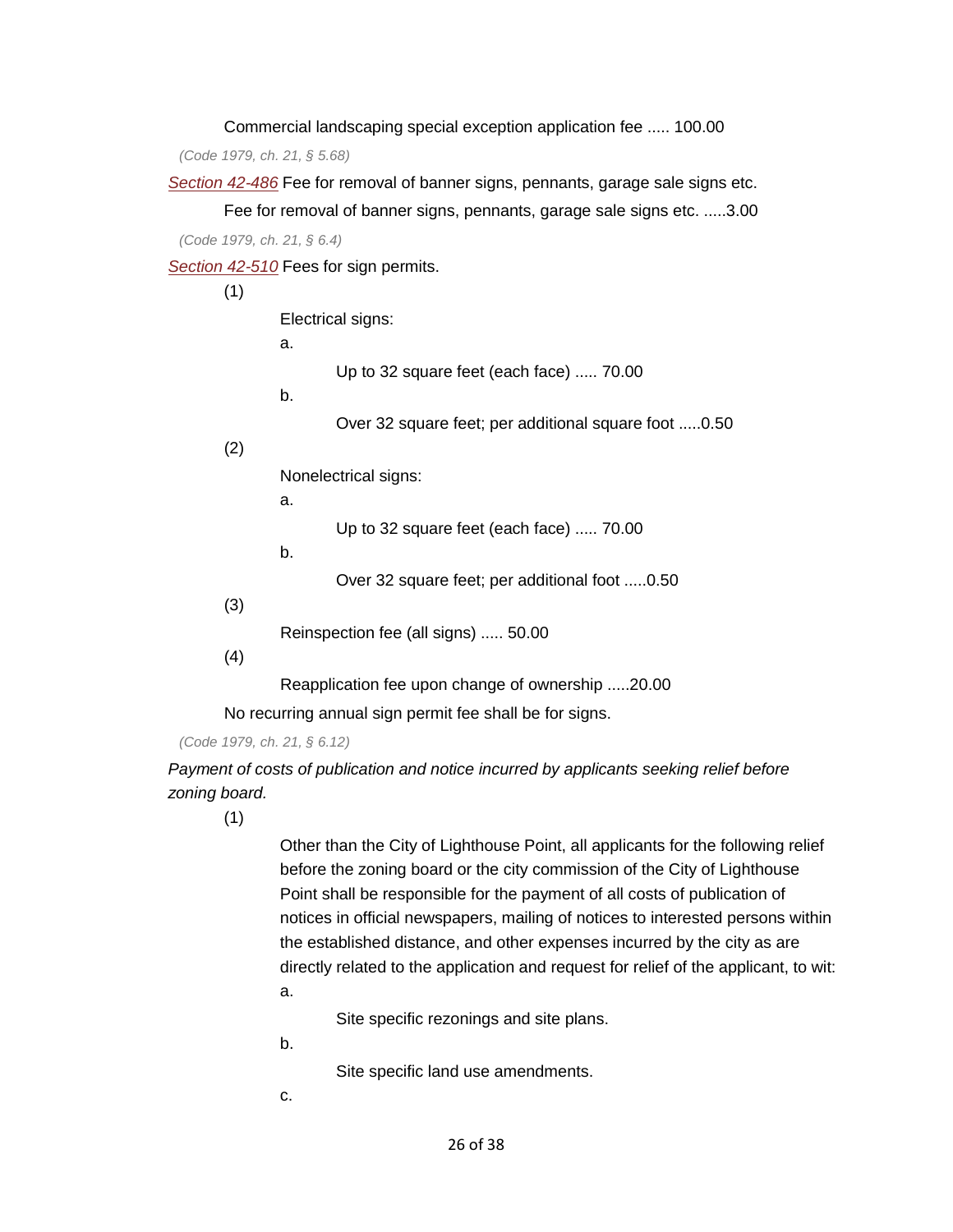Commercial landscaping special exception application fee ..... 100.00

*(Code 1979, ch. 21, § 5.68)* 

*[Section 42-486](https://library.municode.com/HTML/11166/level5/PTIICICO_CH42LADECO_ARTVSI_DIV2ADEN_SDIINGE.html#PTIICICO_CH42LADECO_ARTVSI_DIV2ADEN_SDIINGE_S42-486REENRENOREILUNSI)* Fee for removal of banner signs, pennants, garage sale signs etc.

Fee for removal of banner signs, pennants, garage sale signs etc. .....3.00 *(Code 1979, ch. 21, § 6.4)* 

*[Section 42-510](https://library.municode.com/HTML/11166/level5/PTIICICO_CH42LADECO_ARTVSI_DIV2ADEN_SDIIPE.html#PTIICICO_CH42LADECO_ARTVSI_DIV2ADEN_SDIIPE_S42-510FEPE)* Fees for sign permits.

(1)

Electrical signs:

a.

Up to 32 square feet (each face) ..... 70.00

b.

Over 32 square feet; per additional square foot .....0.50

(2)

Nonelectrical signs:

a.

Up to 32 square feet (each face) ..... 70.00

b.

Over 32 square feet; per additional foot .....0.50

(3)

Reinspection fee (all signs) ..... 50.00

(4)

Reapplication fee upon change of ownership .....20.00

No recurring annual sign permit fee shall be for signs.

*(Code 1979, ch. 21, § 6.12)* 

 *zoning board. Payment of costs of publication and notice incurred by applicants seeking relief before* 

(1)

Other than the City of Lighthouse Point, all applicants for the following relief before the zoning board or the city commission of the City of Lighthouse Point shall be responsible for the payment of all costs of publication of notices in official newspapers, mailing of notices to interested persons within the established distance, and other expenses incurred by the city as are directly related to the application and request for relief of the applicant, to wit: a.

Site specific rezonings and site plans.

b.

Site specific land use amendments.

c.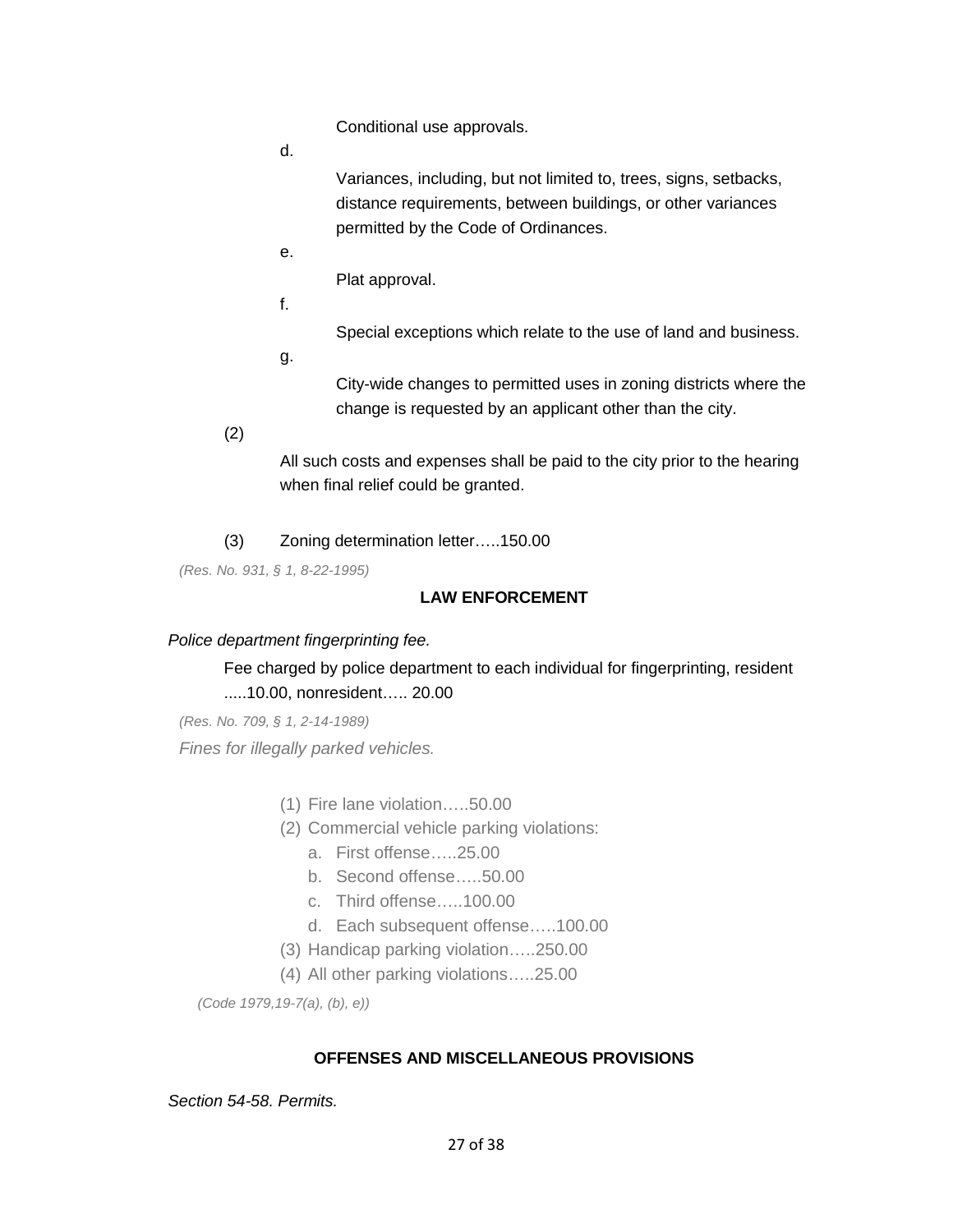Conditional use approvals.

d.

Variances, including, but not limited to, trees, signs, setbacks, distance requirements, between buildings, or other variances permitted by the Code of Ordinances.

e.

Plat approval.

f.

Special exceptions which relate to the use of land and business.

g.

City-wide changes to permitted uses in zoning districts where the change is requested by an applicant other than the city.

(2)

All such costs and expenses shall be paid to the city prior to the hearing when final relief could be granted.

(3) Zoning determination letter…..150.00

*(Res. No. 931, § 1, 8-22-1995)* 

# **LAW ENFORCEMENT**

### *Police department fingerprinting fee.*

# .....10.00, nonresident….. 20.00 Fee charged by police department to each individual for fingerprinting, resident

*(Res. No. 709, § 1, 2-14-1989) Fines for illegally parked vehicles.* 

- (1) Fire lane violation.....50.00
- (2) Commercial vehicle parking violations:
	- a. First offense…..25.00
	- b. Second offense…..50.00
	- c. Third offense…..100.00
	- d. Each subsequent offense…..100.00
- (3) Handicap parking violation…..250.00
- (4) All other parking violations…..25.00

*(Code 1979,19-7(a), (b), e))* 

## **OFFENSES AND MISCELLANEOUS PROVISIONS**

*Section 54-58. Permits.*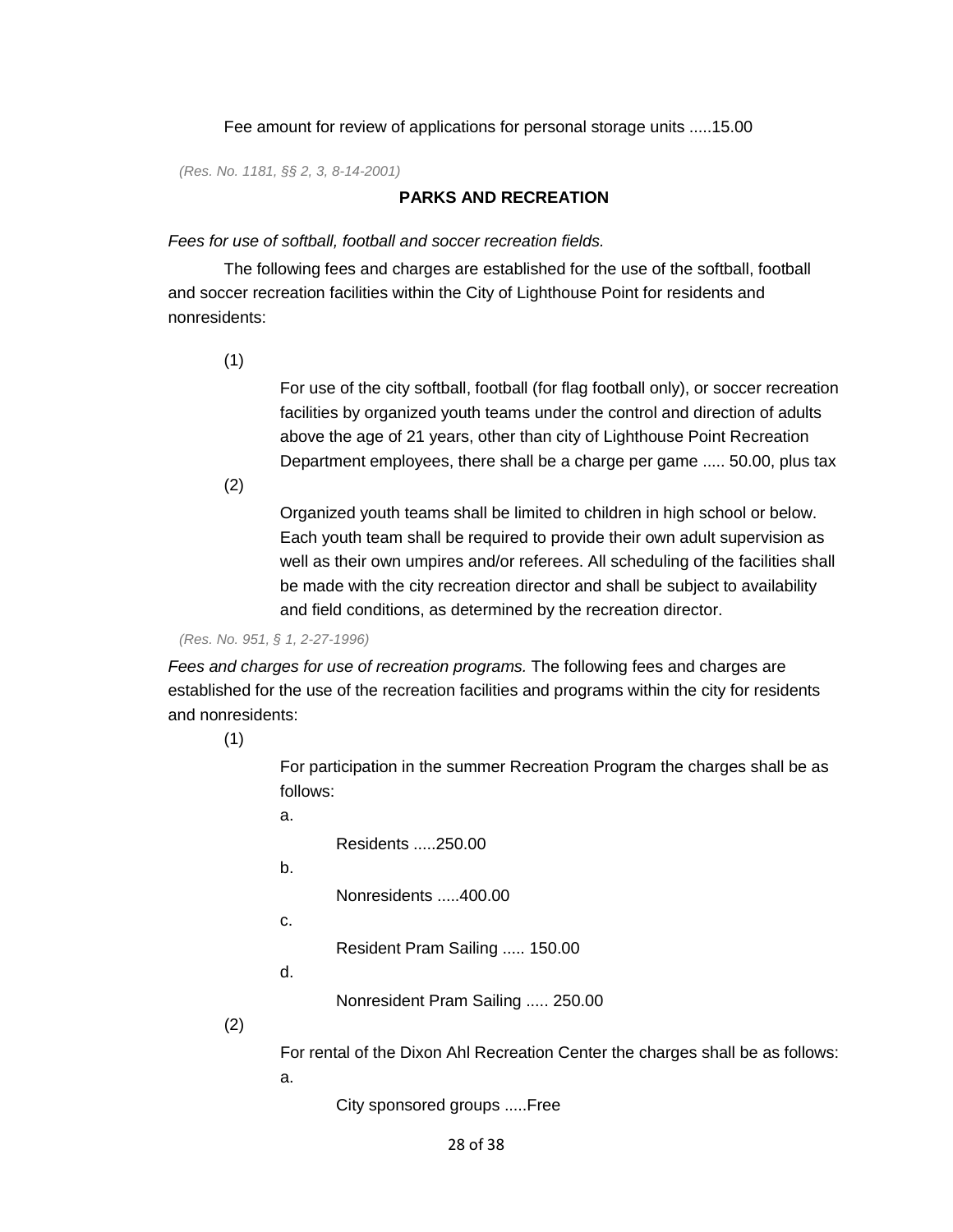Fee amount for review of applications for personal storage units .....15.00

*(Res. No. 1181, §§ 2, 3, 8-14-2001)* 

## **PARKS AND RECREATION**

#### *Fees for use of softball, football and soccer recreation fields.*

 The following fees and charges are established for the use of the softball, football and soccer recreation facilities within the City of Lighthouse Point for residents and nonresidents:

(1)

 Department employees, there shall be a charge per game ..... 50.00, plus tax (2) For use of the city softball, football (for flag football only), or soccer recreation facilities by organized youth teams under the control and direction of adults above the age of 21 years, other than city of Lighthouse Point Recreation

Organized youth teams shall be limited to children in high school or below. Each youth team shall be required to provide their own adult supervision as well as their own umpires and/or referees. All scheduling of the facilities shall be made with the city recreation director and shall be subject to availability and field conditions, as determined by the recreation director.

*(Res. No. 951, § 1, 2-27-1996)* 

*Fees and charges for use of recreation programs.* The following fees and charges are established for the use of the recreation facilities and programs within the city for residents and nonresidents:

(1)

For participation in the summer Recreation Program the charges shall be as follows:

a.

Residents .....250.00

b.

Nonresidents .....400.00

c.

Resident Pram Sailing ..... 150.00

d.

Nonresident Pram Sailing ..... 250.00

(2)

For rental of the Dixon Ahl Recreation Center the charges shall be as follows:

a.

City sponsored groups .....Free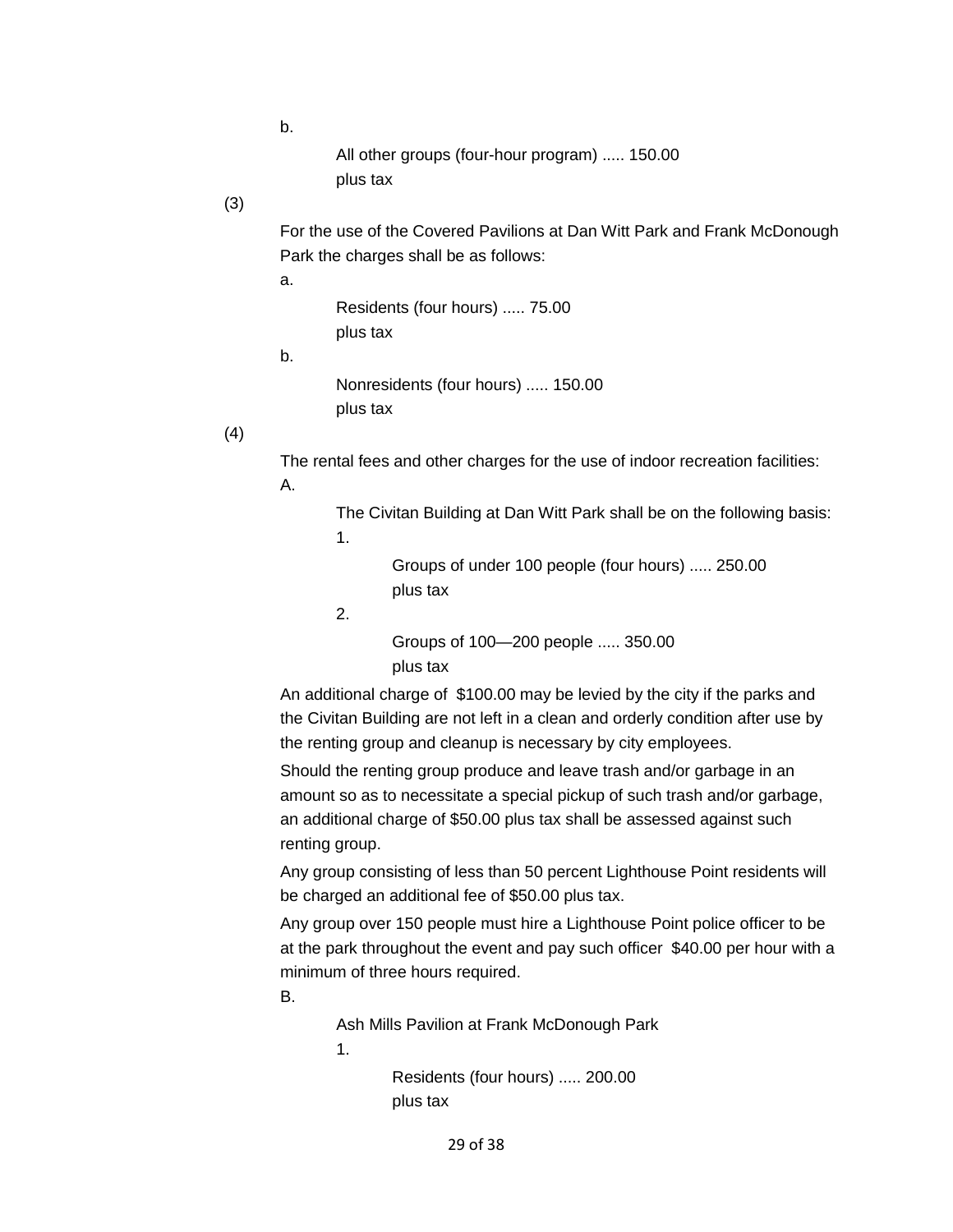b.

 All other groups (four-hour program) ..... 150.00 plus tax

# (3)

For the use of the Covered Pavilions at Dan Witt Park and Frank McDonough Park the charges shall be as follows:

a.

 Residents (four hours) ..... 75.00 plus tax

b.

 Nonresidents (four hours) ..... 150.00 plus tax

(4)

The rental fees and other charges for the use of indoor recreation facilities:

A.

The Civitan Building at Dan Witt Park shall be on the following basis: 1.

> Groups of under 100 people (four hours) ..... 250.00 plus tax

2.

 Groups of 100—200 people ..... 350.00 plus tax

 An additional charge of \$100.00 may be levied by the city if the parks and the Civitan Building are not left in a clean and orderly condition after use by the renting group and cleanup is necessary by city employees.

Should the renting group produce and leave trash and/or garbage in an amount so as to necessitate a special pickup of such trash and/or garbage, an additional charge of \$50.00 plus tax shall be assessed against such renting group.

Any group consisting of less than 50 percent Lighthouse Point residents will be charged an additional fee of \$50.00 plus tax.

Any group over 150 people must hire a Lighthouse Point police officer to be at the park throughout the event and pay such officer \$40.00 per hour with a minimum of three hours required.

B.

Ash Mills Pavilion at Frank McDonough Park

1.

 Residents (four hours) ..... 200.00 plus tax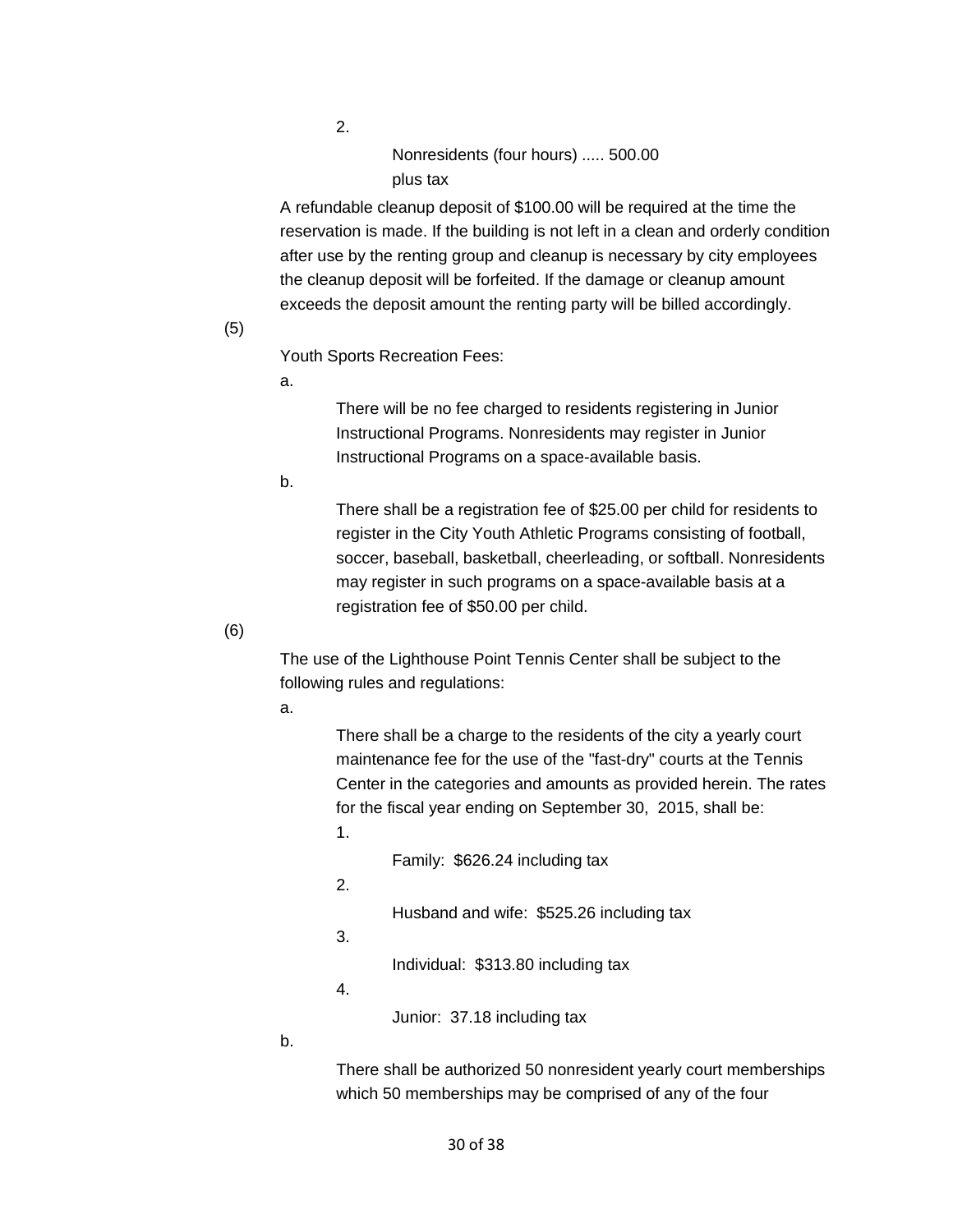2.

 Nonresidents (four hours) ..... 500.00 plus tax

A refundable cleanup deposit of \$100.00 will be required at the time the reservation is made. If the building is not left in a clean and orderly condition after use by the renting group and cleanup is necessary by city employees the cleanup deposit will be forfeited. If the damage or cleanup amount exceeds the deposit amount the renting party will be billed accordingly.

#### (5)

Youth Sports Recreation Fees:

a.

 Instructional Programs. Nonresidents may register in Junior Instructional Programs on a space-available basis. There will be no fee charged to residents registering in Junior

b.

There shall be a registration fee of \$25.00 per child for residents to register in the City Youth Athletic Programs consisting of football, soccer, baseball, basketball, cheerleading, or softball. Nonresidents may register in such programs on a space-available basis at a registration fee of \$50.00 per child.

(6)

The use of the Lighthouse Point Tennis Center shall be subject to the following rules and regulations:

a.

 for the fiscal year ending on September 30, 2015, shall be: There shall be a charge to the residents of the city a yearly court maintenance fee for the use of the "fast-dry" courts at the Tennis Center in the categories and amounts as provided herein. The rates 1.

Family: \$626.24 including tax

2.

Husband and wife: \$525.26 including tax

3.

Individual: \$313.80 including tax

4.

Junior: 37.18 including tax

b.

There shall be authorized 50 nonresident yearly court memberships which 50 memberships may be comprised of any of the four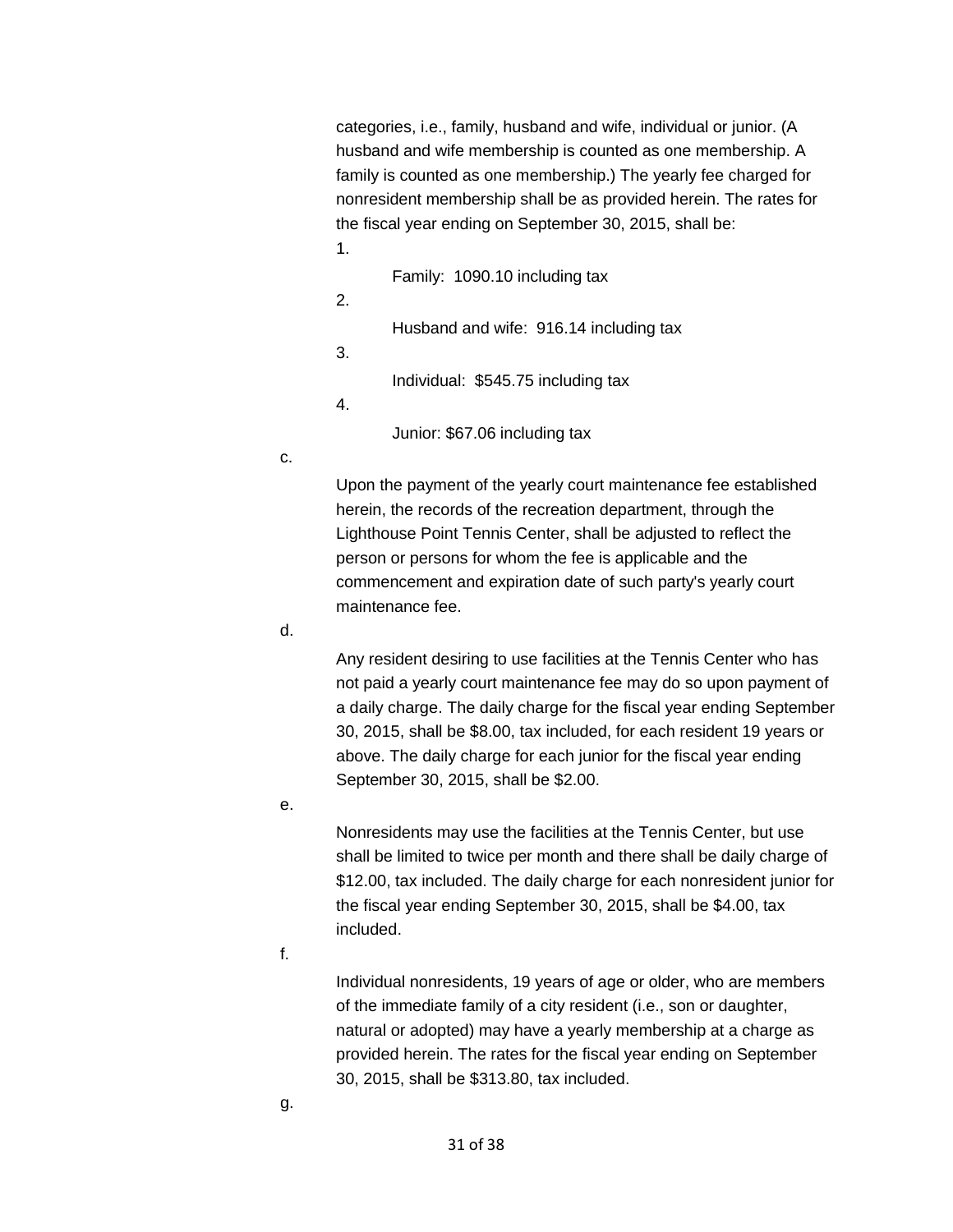categories, i.e., family, husband and wife, individual or junior. (A husband and wife membership is counted as one membership. A family is counted as one membership.) The yearly fee charged for nonresident membership shall be as provided herein. The rates for the fiscal year ending on September 30, 2015, shall be:

- 1.
- Family: 1090.10 including tax
- 2.

Husband and wife: 916.14 including tax

3.

Individual: \$545.75 including tax

4.

Junior: \$67.06 including tax

c.

Upon the payment of the yearly court maintenance fee established herein, the records of the recreation department, through the Lighthouse Point Tennis Center, shall be adjusted to reflect the person or persons for whom the fee is applicable and the commencement and expiration date of such party's yearly court maintenance fee.

d.

Any resident desiring to use facilities at the Tennis Center who has not paid a yearly court maintenance fee may do so upon payment of a daily charge. The daily charge for the fiscal year ending September 30, 2015, shall be \$8.00, tax included, for each resident 19 years or above. The daily charge for each junior for the fiscal year ending September 30, 2015, shall be \$2.00.

e.

 the fiscal year ending September 30, 2015, shall be \$4.00, tax Nonresidents may use the facilities at the Tennis Center, but use shall be limited to twice per month and there shall be daily charge of \$12.00, tax included. The daily charge for each nonresident junior for included.

f.

Individual nonresidents, 19 years of age or older, who are members of the immediate family of a city resident (i.e., son or daughter, natural or adopted) may have a yearly membership at a charge as provided herein. The rates for the fiscal year ending on September 30, 2015, shall be \$313.80, tax included.

g.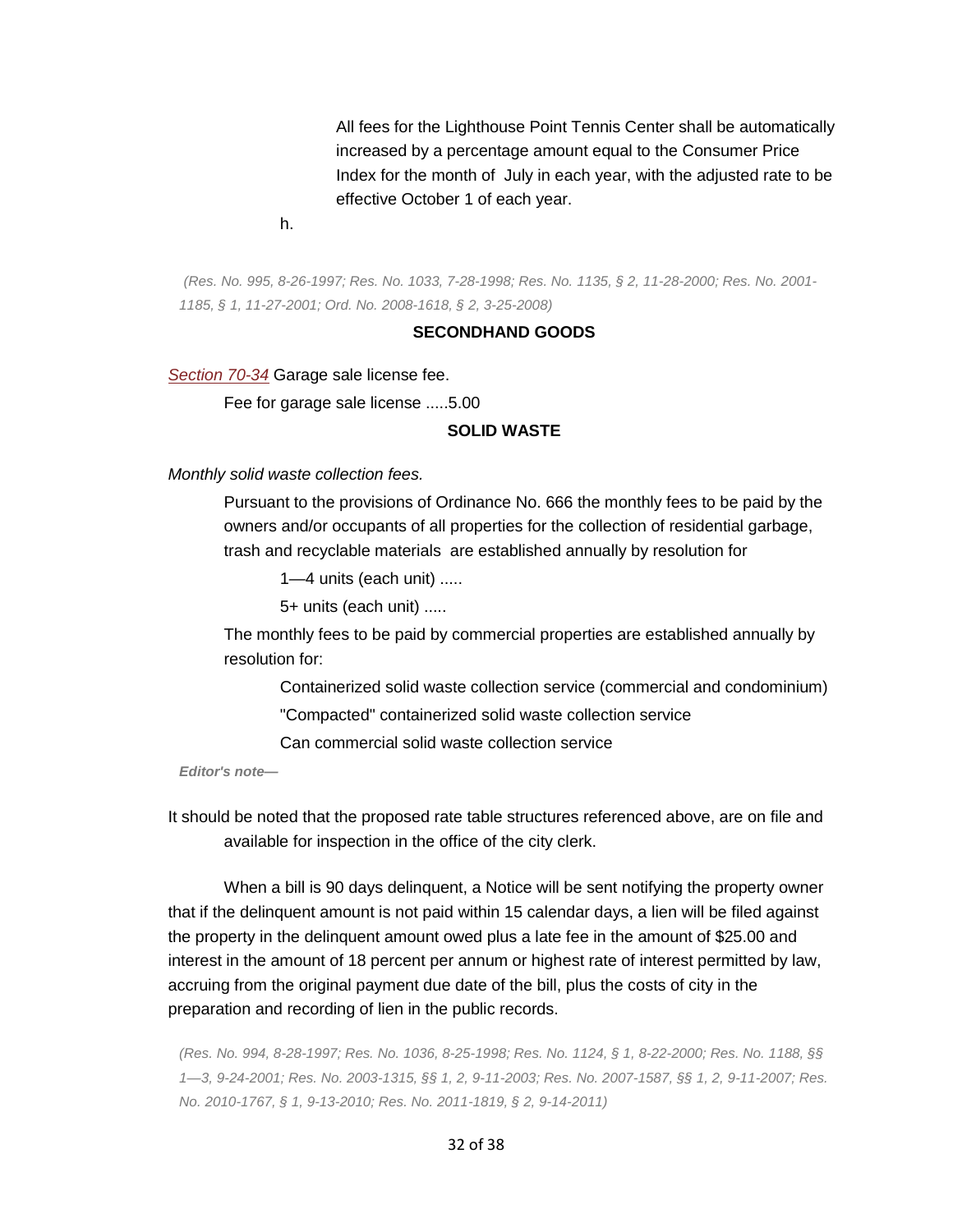Index for the month of July in each year, with the adjusted rate to be All fees for the Lighthouse Point Tennis Center shall be automatically increased by a percentage amount equal to the Consumer Price effective October 1 of each year.

h.

*(Res. No. 995, 8-26-1997; Res. No. 1033, 7-28-1998; Res. No. 1135, § 2, 11-28-2000; Res. No. 2001- 1185, § 1, 11-27-2001; Ord. No. 2008-1618, § 2, 3-25-2008)* 

#### **SECONDHAND GOODS**

*[Section 70-34](https://library.municode.com/HTML/11166/level3/PTIICICO_CH70SEGO_ARTIIGASA.html#PTIICICO_CH70SEGO_ARTIIGASA_S70-34APFE)* Garage sale license fee.

Fee for garage sale license .....5.00

#### **SOLID WASTE**

*Monthly solid waste collection fees.* 

 trash and recyclable materials are established annually by resolution for Pursuant to the provisions of Ordinance No. 666 the monthly fees to be paid by the owners and/or occupants of all properties for the collection of residential garbage,

1—4 units (each unit) .....

5+ units (each unit) .....

The monthly fees to be paid by commercial properties are established annually by resolution for:

Containerized solid waste collection service (commercial and condominium)

"Compacted" containerized solid waste collection service

Can commercial solid waste collection service

*Editor's note—* 

It should be noted that the proposed rate table structures referenced above, are on file and available for inspection in the office of the city clerk.

When a bill is 90 days delinquent, a Notice will be sent notifying the property owner that if the delinquent amount is not paid within 15 calendar days, a lien will be filed against the property in the delinquent amount owed plus a late fee in the amount of \$25.00 and interest in the amount of 18 percent per annum or highest rate of interest permitted by law, accruing from the original payment due date of the bill, plus the costs of city in the preparation and recording of lien in the public records.

*(Res. No. 994, 8-28-1997; Res. No. 1036, 8-25-1998; Res. No. 1124, § 1, 8-22-2000; Res. No. 1188, §§ 1—3, 9-24-2001; Res. No. 2003-1315, §§ 1, 2, 9-11-2003; Res. No. 2007-1587, §§ 1, 2, 9-11-2007; Res. No. 2010-1767, § 1, 9-13-2010; Res. No. 2011-1819, § 2, 9-14-2011)* 

32 of 38